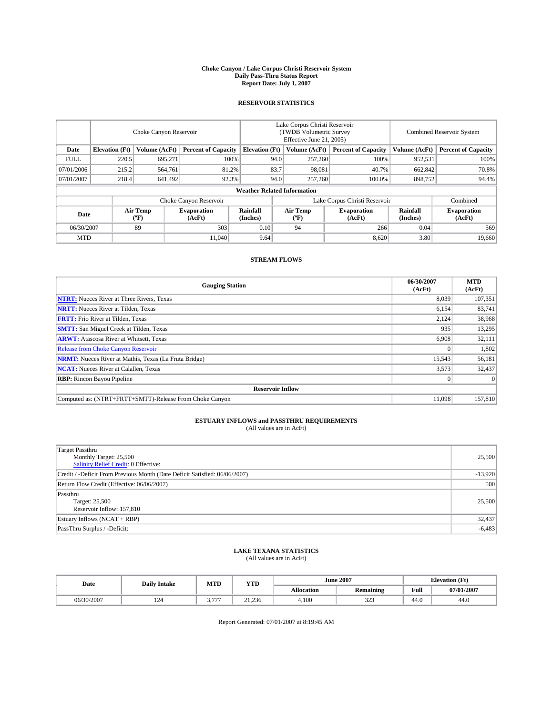#### **Choke Canyon / Lake Corpus Christi Reservoir System Daily Pass-Thru Status Report Report Date: July 1, 2007**

### **RESERVOIR STATISTICS**

|             | Choke Canyon Reservoir |                                |                              |                                    | Lake Corpus Christi Reservoir<br>(TWDB Volumetric Survey<br>Effective June 21, 2005) |                  |                               |                      | <b>Combined Reservoir System</b> |  |  |
|-------------|------------------------|--------------------------------|------------------------------|------------------------------------|--------------------------------------------------------------------------------------|------------------|-------------------------------|----------------------|----------------------------------|--|--|
| Date        | <b>Elevation</b> (Ft)  | Volume (AcFt)                  | <b>Percent of Capacity</b>   | <b>Elevation</b> (Ft)              |                                                                                      | Volume (AcFt)    | <b>Percent of Capacity</b>    | Volume (AcFt)        | <b>Percent of Capacity</b>       |  |  |
| <b>FULL</b> | 220.5                  | 695,271                        | 100%                         |                                    | 94.0                                                                                 | 257,260          | 100%                          | 952,531              | 100%                             |  |  |
| 07/01/2006  | 215.2                  | 564,761                        | 81.2%                        |                                    | 83.7                                                                                 | 98,081           | 40.7%                         | 662,842              | 70.8%                            |  |  |
| 07/01/2007  | 218.4                  | 641,492                        | 92.3%                        |                                    | 94.0                                                                                 | 257,260          | 100.0%                        | 898,752              | 94.4%                            |  |  |
|             |                        |                                |                              | <b>Weather Related Information</b> |                                                                                      |                  |                               |                      |                                  |  |  |
|             |                        |                                | Choke Canyon Reservoir       |                                    |                                                                                      |                  | Lake Corpus Christi Reservoir |                      | Combined                         |  |  |
| Date        |                        | Air Temp<br>$({}^o\mathbf{F})$ | <b>Evaporation</b><br>(AcFt) | Rainfall<br>(Inches)               |                                                                                      | Air Temp<br>("F) | <b>Evaporation</b><br>(AcFt)  | Rainfall<br>(Inches) | <b>Evaporation</b><br>(AcFt)     |  |  |
| 06/30/2007  |                        | 89                             | 303                          | 0.10                               |                                                                                      | 94               | 266                           | 0.04                 | 569                              |  |  |
| <b>MTD</b>  |                        |                                | 11.040                       | 9.64                               |                                                                                      |                  | 8.620                         | 3.80                 | 19,660                           |  |  |

## **STREAM FLOWS**

| <b>Gauging Station</b>                                       | 06/30/2007<br>(AcFt) | <b>MTD</b><br>(AcFt) |
|--------------------------------------------------------------|----------------------|----------------------|
| <b>NTRT:</b> Nueces River at Three Rivers, Texas             | 8,039                | 107,351              |
| <b>NRTT:</b> Nueces River at Tilden, Texas                   | 6.154                | 83,741               |
| <b>FRTT:</b> Frio River at Tilden, Texas                     | 2,124                | 38,968               |
| <b>SMTT:</b> San Miguel Creek at Tilden, Texas               | 935                  | 13,295               |
| <b>ARWT:</b> Atascosa River at Whitsett, Texas               | 6,908                | 32,111               |
| <b>Release from Choke Canyon Reservoir</b>                   | $\mathbf{0}$         | 1,802                |
| <b>NRMT:</b> Nueces River at Mathis, Texas (La Fruta Bridge) | 15,543               | 56,181               |
| <b>NCAT:</b> Nueces River at Calallen, Texas                 | 3,573                | 32,437               |
| <b>RBP:</b> Rincon Bayou Pipeline                            | $\mathbf{0}$         | $\Omega$             |
| <b>Reservoir Inflow</b>                                      |                      |                      |
| Computed as: (NTRT+FRTT+SMTT)-Release From Choke Canyon      | 11.098               | 157,810              |

# **ESTUARY INFLOWS and PASSTHRU REQUIREMENTS**<br>(All values are in AcFt)

| <b>Target Passthru</b><br>Monthly Target: 25,500<br>Salinity Relief Credit: 0 Effective: | 25,500    |
|------------------------------------------------------------------------------------------|-----------|
| Credit / -Deficit From Previous Month (Date Deficit Satisfied: 06/06/2007)               | $-13,920$ |
| Return Flow Credit (Effective: 06/06/2007)                                               | 500       |
| Passthru<br>Target: 25,500<br>Reservoir Inflow: 157,810                                  | 25,500    |
| Estuary Inflows (NCAT + RBP)                                                             | 32,437    |
| PassThru Surplus / -Deficit:                                                             | $-6,483$  |

## **LAKE TEXANA STATISTICS** (All values are in AcFt)

| Date       | <b>Daily Intake</b> | MTD     | <b>YTD</b> |                   | <b>June 2007</b> | <b>Elevation</b> (Ft) |            |
|------------|---------------------|---------|------------|-------------------|------------------|-----------------------|------------|
|            |                     |         |            | <b>Allocation</b> | <b>Remaining</b> | Full                  | 07/01/2007 |
| 06/30/2007 | 124                 | $- - -$ | 21.236     | 4.100             | 222<br>ن عاد     | 44.0                  | 44.0       |

Report Generated: 07/01/2007 at 8:19:45 AM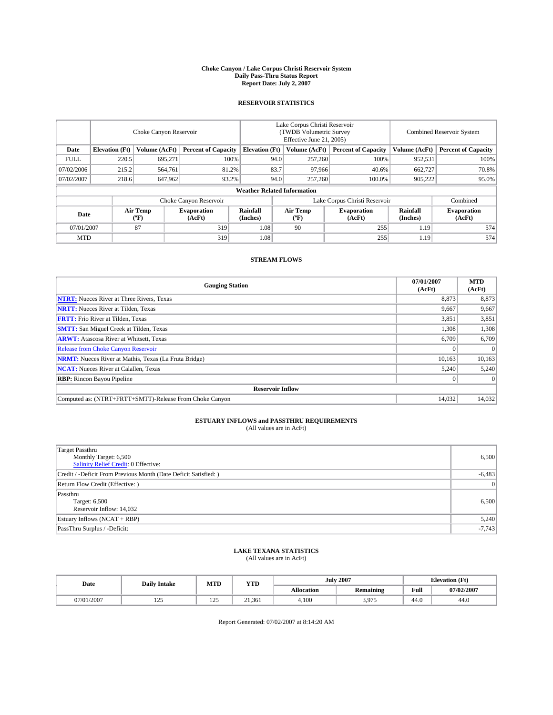#### **Choke Canyon / Lake Corpus Christi Reservoir System Daily Pass-Thru Status Report Report Date: July 2, 2007**

### **RESERVOIR STATISTICS**

|             | Choke Canyon Reservoir |                  |                              |                                    | Lake Corpus Christi Reservoir<br>(TWDB Volumetric Survey<br>Effective June 21, 2005) |                  |                               | <b>Combined Reservoir System</b> |                              |  |
|-------------|------------------------|------------------|------------------------------|------------------------------------|--------------------------------------------------------------------------------------|------------------|-------------------------------|----------------------------------|------------------------------|--|
| Date        | <b>Elevation</b> (Ft)  | Volume (AcFt)    | <b>Percent of Capacity</b>   | <b>Elevation</b> (Ft)              |                                                                                      | Volume (AcFt)    | <b>Percent of Capacity</b>    | Volume (AcFt)                    | <b>Percent of Capacity</b>   |  |
| <b>FULL</b> | 220.5                  | 695.271          | 100%                         |                                    | 94.0                                                                                 | 257,260          | 100%                          | 952,531                          | 100%                         |  |
| 07/02/2006  | 215.2                  | 564,761          | 81.2%                        |                                    | 83.7                                                                                 | 97,966           | 40.6%                         | 662,727                          | 70.8%                        |  |
| 07/02/2007  | 218.6                  | 647,962          | 93.2%                        |                                    | 94.0                                                                                 | 257,260          | 100.0%                        | 905.222                          | 95.0%                        |  |
|             |                        |                  |                              | <b>Weather Related Information</b> |                                                                                      |                  |                               |                                  |                              |  |
|             |                        |                  | Choke Canyon Reservoir       |                                    |                                                                                      |                  | Lake Corpus Christi Reservoir |                                  | Combined                     |  |
| Date        |                        | Air Temp<br>(°F) | <b>Evaporation</b><br>(AcFt) | Rainfall<br>(Inches)               |                                                                                      | Air Temp<br>("F) | <b>Evaporation</b><br>(AcFt)  | Rainfall<br>(Inches)             | <b>Evaporation</b><br>(AcFt) |  |
| 07/01/2007  |                        | 87               | 319                          | 1.08                               |                                                                                      | 90               | 255                           | 1.19                             | 574                          |  |
| <b>MTD</b>  |                        |                  | 319                          | 1.08                               |                                                                                      |                  | 255                           | 1.19                             | 574                          |  |

## **STREAM FLOWS**

| <b>Gauging Station</b>                                       | 07/01/2007<br>(AcFt) | <b>MTD</b><br>(AcFt) |
|--------------------------------------------------------------|----------------------|----------------------|
| <b>NTRT:</b> Nueces River at Three Rivers, Texas             | 8,873                | 8,873                |
| <b>NRTT:</b> Nueces River at Tilden, Texas                   | 9.667                | 9,667                |
| <b>FRTT:</b> Frio River at Tilden, Texas                     | 3,851                | 3,851                |
| <b>SMTT:</b> San Miguel Creek at Tilden, Texas               | 1,308                | 1,308                |
| <b>ARWT:</b> Atascosa River at Whitsett, Texas               | 6,709                | 6,709                |
| <b>Release from Choke Canyon Reservoir</b>                   |                      | $\Omega$             |
| <b>NRMT:</b> Nueces River at Mathis, Texas (La Fruta Bridge) | 10,163               | 10,163               |
| <b>NCAT:</b> Nueces River at Calallen, Texas                 | 5,240                | 5,240                |
| <b>RBP:</b> Rincon Bayou Pipeline                            |                      | $\Omega$             |
| <b>Reservoir Inflow</b>                                      |                      |                      |
| Computed as: (NTRT+FRTT+SMTT)-Release From Choke Canyon      | 14.032               | 14.032               |

## **ESTUARY INFLOWS and PASSTHRU REQUIREMENTS**<br>(All values are in AcFt)

| Target Passthru<br>Monthly Target: 6,500<br>Salinity Relief Credit: 0 Effective: | 6,500          |
|----------------------------------------------------------------------------------|----------------|
| Credit / -Deficit From Previous Month (Date Deficit Satisfied: )                 | $-6,483$       |
| Return Flow Credit (Effective:)                                                  | $\overline{0}$ |
| Passthru<br>Target: 6,500<br>Reservoir Inflow: 14,032                            | 6,500          |
| Estuary Inflows (NCAT + RBP)                                                     | 5,240          |
| PassThru Surplus / -Deficit:                                                     | $-7,743$       |

## **LAKE TEXANA STATISTICS** (All values are in AcFt)

| Date       | <b>Daily Intake</b> | MTD                   | <b>YTD</b> |                   | <b>July 2007</b> | <b>Elevation</b> (Ft) |            |
|------------|---------------------|-----------------------|------------|-------------------|------------------|-----------------------|------------|
|            |                     |                       |            | <b>Allocation</b> | <b>Remaining</b> | Full                  | 07/02/2007 |
| 07/01/2007 | ۵ ت<br>ب سے ج       | . .<br>$\overline{1}$ | 21.361     | 4.100             | 3,975            | 44.0                  | 44.0       |

Report Generated: 07/02/2007 at 8:14:20 AM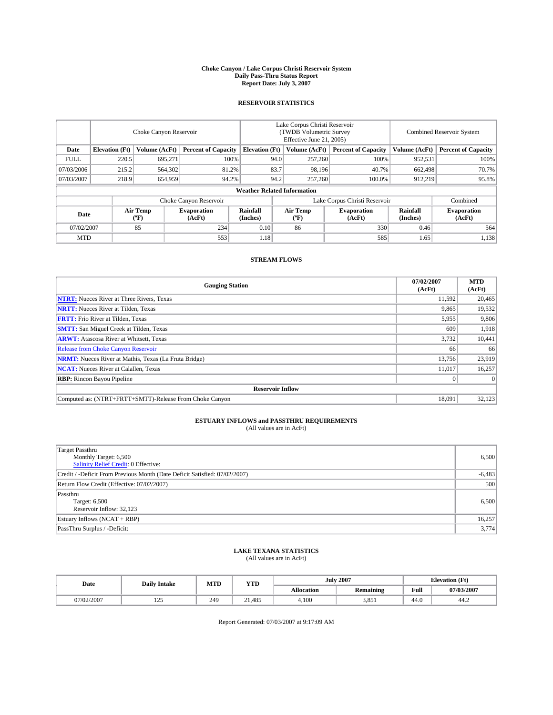#### **Choke Canyon / Lake Corpus Christi Reservoir System Daily Pass-Thru Status Report Report Date: July 3, 2007**

### **RESERVOIR STATISTICS**

|             | Choke Canyon Reservoir             |                  |                              |                       | Lake Corpus Christi Reservoir<br>(TWDB Volumetric Survey<br>Effective June 21, 2005) |                  |                               | <b>Combined Reservoir System</b> |                              |  |
|-------------|------------------------------------|------------------|------------------------------|-----------------------|--------------------------------------------------------------------------------------|------------------|-------------------------------|----------------------------------|------------------------------|--|
| Date        | <b>Elevation</b> (Ft)              | Volume (AcFt)    | <b>Percent of Capacity</b>   | <b>Elevation</b> (Ft) |                                                                                      | Volume (AcFt)    | <b>Percent of Capacity</b>    | Volume (AcFt)                    | <b>Percent of Capacity</b>   |  |
| <b>FULL</b> | 220.5                              | 695,271          | 100%                         |                       | 94.0                                                                                 | 257,260          | 100%                          | 952,531                          | 100%                         |  |
| 07/03/2006  | 215.2                              | 564,302          | 81.2%                        |                       | 83.7                                                                                 | 98.196           | 40.7%                         | 662,498                          | 70.7%                        |  |
| 07/03/2007  | 218.9                              | 654,959          | 94.2%                        | 94.2                  |                                                                                      | 257,260          | 100.0%                        | 912,219                          | 95.8%                        |  |
|             | <b>Weather Related Information</b> |                  |                              |                       |                                                                                      |                  |                               |                                  |                              |  |
|             |                                    |                  | Choke Canyon Reservoir       |                       |                                                                                      |                  | Lake Corpus Christi Reservoir |                                  | Combined                     |  |
| Date        |                                    | Air Temp<br>(°F) | <b>Evaporation</b><br>(AcFt) | Rainfall<br>(Inches)  |                                                                                      | Air Temp<br>("F) | <b>Evaporation</b><br>(AcFt)  | Rainfall<br>(Inches)             | <b>Evaporation</b><br>(AcFt) |  |
| 07/02/2007  |                                    | 85               | 234                          | 0.10                  |                                                                                      | 86               | 330                           | 0.46                             | 564                          |  |
| <b>MTD</b>  |                                    |                  | 553                          | 1.18                  |                                                                                      |                  | 585                           | 1.65                             | 1,138                        |  |

## **STREAM FLOWS**

| <b>Gauging Station</b>                                       | 07/02/2007<br>(AcFt) | <b>MTD</b><br>(AcFt) |
|--------------------------------------------------------------|----------------------|----------------------|
| <b>NTRT:</b> Nueces River at Three Rivers, Texas             | 11,592               | 20,465               |
| <b>NRTT:</b> Nueces River at Tilden, Texas                   | 9,865                | 19,532               |
| <b>FRTT:</b> Frio River at Tilden, Texas                     | 5,955                | 9,806                |
| <b>SMTT:</b> San Miguel Creek at Tilden, Texas               | 609                  | 1,918                |
| <b>ARWT:</b> Atascosa River at Whitsett, Texas               | 3,732                | 10,441               |
| <b>Release from Choke Canyon Reservoir</b>                   | 66                   | 66                   |
| <b>NRMT:</b> Nueces River at Mathis, Texas (La Fruta Bridge) | 13,756               | 23,919               |
| <b>NCAT:</b> Nueces River at Calallen, Texas                 | 11,017               | 16,257               |
| <b>RBP:</b> Rincon Bayou Pipeline                            |                      | $\Omega$             |
| <b>Reservoir Inflow</b>                                      |                      |                      |
| Computed as: (NTRT+FRTT+SMTT)-Release From Choke Canyon      | 18.091               | 32,123               |

# **ESTUARY INFLOWS and PASSTHRU REQUIREMENTS**<br>(All values are in AcFt)

| <b>Target Passthru</b><br>Monthly Target: 6,500<br>Salinity Relief Credit: 0 Effective: | 6,500    |
|-----------------------------------------------------------------------------------------|----------|
| Credit / -Deficit From Previous Month (Date Deficit Satisfied: 07/02/2007)              | $-6,483$ |
| Return Flow Credit (Effective: 07/02/2007)                                              | 500      |
| Passthru<br>Target: 6,500<br>Reservoir Inflow: 32,123                                   | 6,500    |
| Estuary Inflows (NCAT + RBP)                                                            | 16,257   |
| PassThru Surplus / -Deficit:                                                            | 3,774    |

## **LAKE TEXANA STATISTICS** (All values are in AcFt)

| Date       | <b>Daily Intake</b> | MTD | <b>YTD</b>     | <b>July 2007</b>  |                  | <b>Elevation</b> (Ft) |            |
|------------|---------------------|-----|----------------|-------------------|------------------|-----------------------|------------|
|            |                     |     |                | <b>Allocation</b> | <b>Remaining</b> | Full                  | 07/03/2007 |
| 07/02/2007 | ۵ ت<br>ب سے ج       | 249 | $\angle 1.485$ | 4.100             | 3.851            | 44.0                  | 44.Z       |

Report Generated: 07/03/2007 at 9:17:09 AM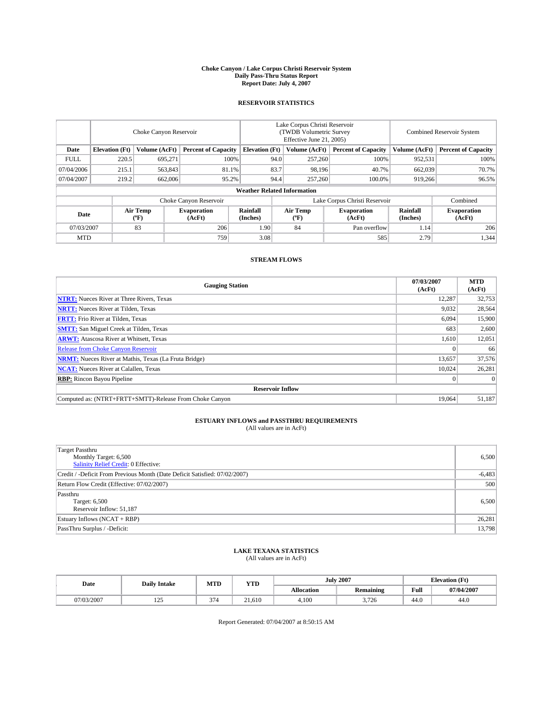#### **Choke Canyon / Lake Corpus Christi Reservoir System Daily Pass-Thru Status Report Report Date: July 4, 2007**

### **RESERVOIR STATISTICS**

|             | Choke Canyon Reservoir |                         |                              |                                    | Lake Corpus Christi Reservoir<br>(TWDB Volumetric Survey<br>Effective June 21, 2005) |                  |                               |                      | <b>Combined Reservoir System</b> |  |  |
|-------------|------------------------|-------------------------|------------------------------|------------------------------------|--------------------------------------------------------------------------------------|------------------|-------------------------------|----------------------|----------------------------------|--|--|
| Date        | <b>Elevation</b> (Ft)  | Volume (AcFt)           | <b>Percent of Capacity</b>   | <b>Elevation</b> (Ft)              |                                                                                      | Volume (AcFt)    | <b>Percent of Capacity</b>    | Volume (AcFt)        | <b>Percent of Capacity</b>       |  |  |
| <b>FULL</b> | 220.5                  | 695.271                 | 100%                         |                                    | 94.0                                                                                 | 257,260          | 100%                          | 952,531              | 100%                             |  |  |
| 07/04/2006  | 215.1                  | 563,843                 | 81.1%                        |                                    | 83.7                                                                                 | 98,196           | 40.7%                         | 662,039              | 70.7%                            |  |  |
| 07/04/2007  | 219.2                  | 662,006                 | 95.2%                        |                                    | 94.4                                                                                 | 257,260          | 100.0%                        | 919,266              | 96.5%                            |  |  |
|             |                        |                         |                              | <b>Weather Related Information</b> |                                                                                      |                  |                               |                      |                                  |  |  |
|             |                        |                         | Choke Canyon Reservoir       |                                    |                                                                                      |                  | Lake Corpus Christi Reservoir |                      | Combined                         |  |  |
| Date        |                        | <b>Air Temp</b><br>(°F) | <b>Evaporation</b><br>(AcFt) | Rainfall<br>(Inches)               |                                                                                      | Air Temp<br>("F) | <b>Evaporation</b><br>(AcFt)  | Rainfall<br>(Inches) | <b>Evaporation</b><br>(AcFt)     |  |  |
| 07/03/2007  |                        | 83                      | 206                          | 1.90                               |                                                                                      | 84               | Pan overflow                  | 1.14                 | 206                              |  |  |
| <b>MTD</b>  |                        |                         | 759                          | 3.08                               |                                                                                      |                  | 585                           | 2.79                 | 1,344                            |  |  |

## **STREAM FLOWS**

| <b>Gauging Station</b>                                       | 07/03/2007<br>(AcFt) | <b>MTD</b><br>(AcFt) |
|--------------------------------------------------------------|----------------------|----------------------|
| <b>NTRT:</b> Nueces River at Three Rivers, Texas             | 12.287               | 32,753               |
| <b>NRTT:</b> Nueces River at Tilden, Texas                   | 9,032                | 28,564               |
| <b>FRTT:</b> Frio River at Tilden, Texas                     | 6,094                | 15,900               |
| <b>SMTT:</b> San Miguel Creek at Tilden, Texas               | 683                  | 2,600                |
| <b>ARWT:</b> Atascosa River at Whitsett, Texas               | 1,610                | 12,051               |
| <b>Release from Choke Canyon Reservoir</b>                   |                      | 66                   |
| <b>NRMT:</b> Nueces River at Mathis, Texas (La Fruta Bridge) | 13,657               | 37,576               |
| <b>NCAT:</b> Nueces River at Calallen, Texas                 | 10.024               | 26,281               |
| <b>RBP:</b> Rincon Bayou Pipeline                            |                      | $\Omega$             |
| <b>Reservoir Inflow</b>                                      |                      |                      |
| Computed as: (NTRT+FRTT+SMTT)-Release From Choke Canyon      | 19,064               | 51.187               |

## **ESTUARY INFLOWS and PASSTHRU REQUIREMENTS**<br>(All values are in AcFt)

| <b>Target Passthru</b><br>Monthly Target: 6,500<br>Salinity Relief Credit: 0 Effective: | 6,500    |
|-----------------------------------------------------------------------------------------|----------|
| Credit / -Deficit From Previous Month (Date Deficit Satisfied: 07/02/2007)              | $-6,483$ |
| Return Flow Credit (Effective: 07/02/2007)                                              | 500      |
| Passthru<br>Target: 6,500<br>Reservoir Inflow: 51,187                                   | 6,500    |
| Estuary Inflows (NCAT + RBP)                                                            | 26,281   |
| PassThru Surplus / -Deficit:                                                            | 13,798   |

## **LAKE TEXANA STATISTICS** (All values are in AcFt)

| Date       | <b>Daily Intake</b> | MTD    | <b>YTD</b> |                   | <b>July 2007</b> |      | <b>Elevation</b> (Ft) |
|------------|---------------------|--------|------------|-------------------|------------------|------|-----------------------|
|            |                     |        |            | <b>Allocation</b> | <b>Remaining</b> | Full | 07/04/2007            |
| 07/03/2007 | ۵ - ۱<br>ن کے ا     | $\sim$ | 21.610     | 4.100             | 3.726            | 44.0 | 44.0                  |

Report Generated: 07/04/2007 at 8:50:15 AM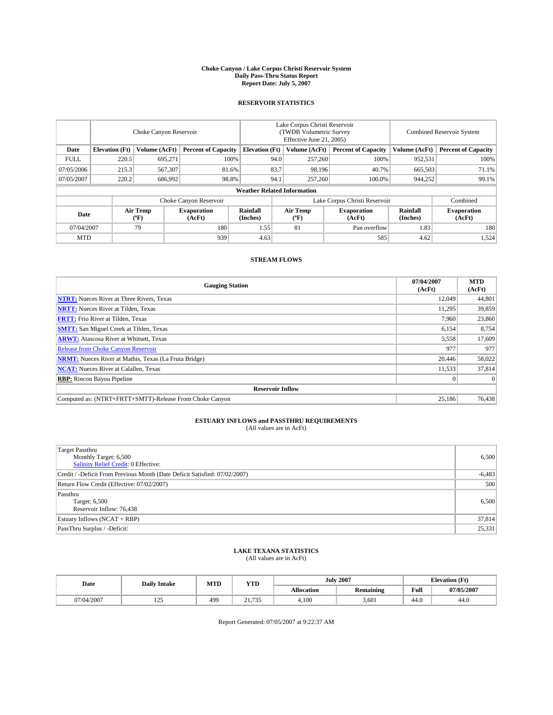#### **Choke Canyon / Lake Corpus Christi Reservoir System Daily Pass-Thru Status Report Report Date: July 5, 2007**

### **RESERVOIR STATISTICS**

|             | Choke Canyon Reservoir |                                                  |                              |                                    | Lake Corpus Christi Reservoir<br>(TWDB Volumetric Survey<br>Effective June 21, 2005) |                                           |                               | <b>Combined Reservoir System</b> |                              |  |
|-------------|------------------------|--------------------------------------------------|------------------------------|------------------------------------|--------------------------------------------------------------------------------------|-------------------------------------------|-------------------------------|----------------------------------|------------------------------|--|
| Date        | <b>Elevation</b> (Ft)  | Volume (AcFt)                                    | <b>Percent of Capacity</b>   | <b>Elevation</b> (Ft)              |                                                                                      | Volume (AcFt)                             | <b>Percent of Capacity</b>    | Volume (AcFt)                    | <b>Percent of Capacity</b>   |  |
| <b>FULL</b> | 220.5                  | 695,271                                          | 100%                         |                                    | 94.0                                                                                 | 257,260                                   | 100%                          | 952,531                          | 100%                         |  |
| 07/05/2006  | 215.3                  | 567,307                                          | 81.6%                        |                                    | 83.7                                                                                 | 98,196                                    | 40.7%                         | 665,503                          | 71.1%                        |  |
| 07/05/2007  | 220.2                  | 686,992                                          | 98.8%                        |                                    | 94.1                                                                                 | 257,260                                   | 100.0%                        | 944.252                          | 99.1%                        |  |
|             |                        |                                                  |                              | <b>Weather Related Information</b> |                                                                                      |                                           |                               |                                  |                              |  |
|             |                        |                                                  | Choke Canyon Reservoir       |                                    |                                                                                      |                                           | Lake Corpus Christi Reservoir |                                  | Combined                     |  |
| Date        |                        | <b>Air Temp</b><br>$({}^{\mathrm{o}}\mathrm{F})$ | <b>Evaporation</b><br>(AcFt) | Rainfall<br>(Inches)               |                                                                                      | Air Temp<br>$({}^{\mathrm{o}}\mathrm{F})$ | <b>Evaporation</b><br>(AcFt)  | Rainfall<br>(Inches)             | <b>Evaporation</b><br>(AcFt) |  |
| 07/04/2007  |                        | 79                                               | 180                          | 1.55                               |                                                                                      | 81                                        | Pan overflow                  | 1.83                             | 180                          |  |
| <b>MTD</b>  |                        |                                                  | 939                          | 4.63                               |                                                                                      |                                           | 585                           | 4.62                             | 1,524                        |  |

## **STREAM FLOWS**

| <b>Gauging Station</b>                                       | 07/04/2007<br>(AcFt) | <b>MTD</b><br>(AcFt) |
|--------------------------------------------------------------|----------------------|----------------------|
| <b>NTRT:</b> Nueces River at Three Rivers, Texas             | 12,049               | 44,801               |
| <b>NRTT:</b> Nueces River at Tilden, Texas                   | 11.295               | 39,859               |
| <b>FRTT:</b> Frio River at Tilden, Texas                     | 7,960                | 23,860               |
| <b>SMTT:</b> San Miguel Creek at Tilden, Texas               | 6,154                | 8,754                |
| <b>ARWT:</b> Atascosa River at Whitsett, Texas               | 5,558                | 17,609               |
| <b>Release from Choke Canyon Reservoir</b>                   | 977                  | 977                  |
| <b>NRMT:</b> Nueces River at Mathis, Texas (La Fruta Bridge) | 20,446               | 58,022               |
| <b>NCAT:</b> Nueces River at Calallen, Texas                 | 11,533               | 37,814               |
| <b>RBP:</b> Rincon Bayou Pipeline                            |                      | $\Omega$             |
| <b>Reservoir Inflow</b>                                      |                      |                      |
| Computed as: (NTRT+FRTT+SMTT)-Release From Choke Canyon      | 25,186               | 76,438               |

# **ESTUARY INFLOWS and PASSTHRU REQUIREMENTS**<br>(All values are in AcFt)

| <b>Target Passthru</b><br>Monthly Target: 6,500<br>Salinity Relief Credit: 0 Effective: | 6,500    |
|-----------------------------------------------------------------------------------------|----------|
| Credit / -Deficit From Previous Month (Date Deficit Satisfied: 07/02/2007)              | $-6,483$ |
| Return Flow Credit (Effective: 07/02/2007)                                              | 500      |
| Passthru<br>Target: 6,500<br>Reservoir Inflow: 76,438                                   | 6,500    |
| Estuary Inflows (NCAT + RBP)                                                            | 37,814   |
| PassThru Surplus / -Deficit:                                                            | 25,331   |

## **LAKE TEXANA STATISTICS** (All values are in AcFt)

| Date       | <b>Daily Intake</b> | MTD             | <b>YTD</b>      |                   | <b>July 2007</b> | <b>Elevation</b> (Ft) |            |
|------------|---------------------|-----------------|-----------------|-------------------|------------------|-----------------------|------------|
|            |                     |                 |                 | <b>Allocation</b> | <b>Remaining</b> | Full                  | 07/05/2007 |
| 07/04/2007 | ۵ - ۱<br>ب سے ج     | 49 <sup>c</sup> | $\sim$ 1<br>725 | 4.100             | 3.601            | 44.0                  | 44.0       |

Report Generated: 07/05/2007 at 9:22:37 AM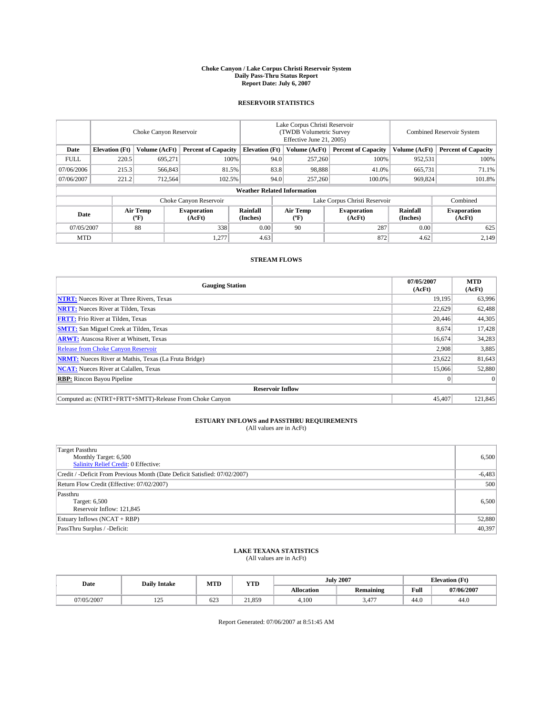#### **Choke Canyon / Lake Corpus Christi Reservoir System Daily Pass-Thru Status Report Report Date: July 6, 2007**

### **RESERVOIR STATISTICS**

|             | Choke Canyon Reservoir             |                  |                              |                       | Lake Corpus Christi Reservoir<br>(TWDB Volumetric Survey<br>Effective June 21, 2005) |                                           |                              | <b>Combined Reservoir System</b> |                              |  |
|-------------|------------------------------------|------------------|------------------------------|-----------------------|--------------------------------------------------------------------------------------|-------------------------------------------|------------------------------|----------------------------------|------------------------------|--|
| Date        | <b>Elevation</b> (Ft)              | Volume (AcFt)    | <b>Percent of Capacity</b>   | <b>Elevation</b> (Ft) |                                                                                      | Volume (AcFt)                             | <b>Percent of Capacity</b>   | Volume (AcFt)                    | <b>Percent of Capacity</b>   |  |
| <b>FULL</b> | 220.5                              | 695.271          | 100%                         |                       | 94.0                                                                                 | 257,260                                   | 100%                         | 952,531                          | 100%                         |  |
| 07/06/2006  | 215.3                              | 566,843          | 81.5%                        |                       | 83.8                                                                                 | 98.888                                    | 41.0%                        | 665,731                          | 71.1%                        |  |
| 07/06/2007  | 221.2                              | 712,564          | 102.5%                       |                       | 94.0                                                                                 | 257,260                                   | 100.0%                       | 969,824                          | 101.8%                       |  |
|             | <b>Weather Related Information</b> |                  |                              |                       |                                                                                      |                                           |                              |                                  |                              |  |
|             |                                    |                  | Choke Canyon Reservoir       |                       | Lake Corpus Christi Reservoir                                                        |                                           |                              |                                  | Combined                     |  |
| Date        |                                    | Air Temp<br>(°F) | <b>Evaporation</b><br>(AcFt) | Rainfall<br>(Inches)  |                                                                                      | Air Temp<br>$({}^{\mathrm{o}}\mathrm{F})$ | <b>Evaporation</b><br>(AcFt) | Rainfall<br>(Inches)             | <b>Evaporation</b><br>(AcFt) |  |
| 07/05/2007  |                                    | 88               | 338                          | 0.00                  |                                                                                      | 90                                        | 287                          | 0.00                             | 625                          |  |
| <b>MTD</b>  |                                    |                  | 1.277                        | 4.63                  |                                                                                      |                                           | 872                          | 4.62                             | 2,149                        |  |

## **STREAM FLOWS**

| <b>Gauging Station</b>                                       | 07/05/2007<br>(AcFt) | <b>MTD</b><br>(AcFt) |
|--------------------------------------------------------------|----------------------|----------------------|
| <b>NTRT:</b> Nueces River at Three Rivers, Texas             | 19.195               | 63,996               |
| <b>NRTT:</b> Nueces River at Tilden, Texas                   | 22,629               | 62,488               |
| <b>FRTT:</b> Frio River at Tilden, Texas                     | 20,446               | 44,305               |
| <b>SMTT:</b> San Miguel Creek at Tilden, Texas               | 8,674                | 17,428               |
| <b>ARWT:</b> Atascosa River at Whitsett, Texas               | 16,674               | 34,283               |
| <b>Release from Choke Canyon Reservoir</b>                   | 2,908                | 3,885                |
| <b>NRMT:</b> Nueces River at Mathis, Texas (La Fruta Bridge) | 23,622               | 81,643               |
| <b>NCAT:</b> Nueces River at Calallen, Texas                 | 15,066               | 52,880               |
| <b>RBP:</b> Rincon Bayou Pipeline                            | $\mathbf{0}$         | $\Omega$             |
| <b>Reservoir Inflow</b>                                      |                      |                      |
| Computed as: (NTRT+FRTT+SMTT)-Release From Choke Canyon      | 45,407               | 121,845              |

## **ESTUARY INFLOWS and PASSTHRU REQUIREMENTS**<br>(All values are in AcFt)

| Target Passthru<br>Monthly Target: 6,500<br>Salinity Relief Credit: 0 Effective: | 6,500    |
|----------------------------------------------------------------------------------|----------|
| Credit / -Deficit From Previous Month (Date Deficit Satisfied: 07/02/2007)       | $-6,483$ |
| Return Flow Credit (Effective: 07/02/2007)                                       | 500      |
| Passthru<br>Target: 6,500<br>Reservoir Inflow: 121,845                           | 6,500    |
| Estuary Inflows (NCAT + RBP)                                                     | 52,880   |
| PassThru Surplus / -Deficit:                                                     | 40,397   |

## **LAKE TEXANA STATISTICS** (All values are in AcFt)

| Date       | <b>Daily Intake</b> | MTD | <b>YTD</b> |                   | <b>July 2007</b> | <b>Elevation</b> (Ft) |            |
|------------|---------------------|-----|------------|-------------------|------------------|-----------------------|------------|
|            |                     |     |            | <b>Allocation</b> | <b>Remaining</b> | Full                  | 07/06/2007 |
| 07/05/2007 | ۵ ت<br>ب سے ج       | 62  | 21,859     | 4.100             | 477<br>5.47      | 44.0                  | 44.0       |

Report Generated: 07/06/2007 at 8:51:45 AM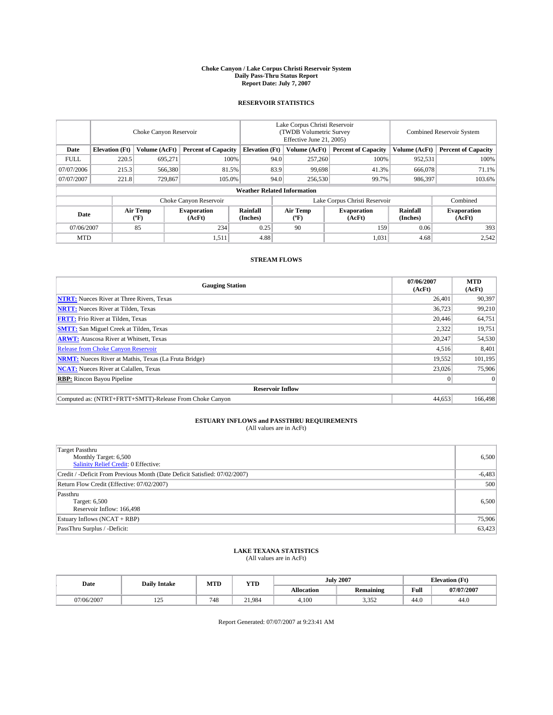#### **Choke Canyon / Lake Corpus Christi Reservoir System Daily Pass-Thru Status Report Report Date: July 7, 2007**

### **RESERVOIR STATISTICS**

|             | Choke Canyon Reservoir |                  |                              |                                    | Lake Corpus Christi Reservoir<br>(TWDB Volumetric Survey<br>Effective June 21, 2005) |                  |                               | <b>Combined Reservoir System</b> |                              |  |
|-------------|------------------------|------------------|------------------------------|------------------------------------|--------------------------------------------------------------------------------------|------------------|-------------------------------|----------------------------------|------------------------------|--|
| Date        | <b>Elevation</b> (Ft)  | Volume (AcFt)    | <b>Percent of Capacity</b>   | <b>Elevation</b> (Ft)              |                                                                                      | Volume (AcFt)    | <b>Percent of Capacity</b>    | Volume (AcFt)                    | <b>Percent of Capacity</b>   |  |
| <b>FULL</b> | 220.5                  | 695.271          | 100%                         |                                    | 94.0                                                                                 | 257,260          | 100%                          | 952,531                          | 100%                         |  |
| 07/07/2006  | 215.3                  | 566,380          | 81.5%                        |                                    | 83.9                                                                                 | 99,698           | 41.3%                         | 666,078                          | 71.1%                        |  |
| 07/07/2007  | 221.8                  | 729,867          | 105.0%                       |                                    | 94.0                                                                                 | 256,530          | 99.7%                         | 986,397                          | 103.6%                       |  |
|             |                        |                  |                              | <b>Weather Related Information</b> |                                                                                      |                  |                               |                                  |                              |  |
|             |                        |                  | Choke Canyon Reservoir       |                                    |                                                                                      |                  | Lake Corpus Christi Reservoir |                                  | Combined                     |  |
| Date        |                        | Air Temp<br>(°F) | <b>Evaporation</b><br>(AcFt) | Rainfall<br>(Inches)               |                                                                                      | Air Temp<br>("F) | <b>Evaporation</b><br>(AcFt)  | Rainfall<br>(Inches)             | <b>Evaporation</b><br>(AcFt) |  |
| 07/06/2007  |                        | 85               | 234                          | 0.25                               |                                                                                      | 90               | 159                           | 0.06                             | 393                          |  |
| <b>MTD</b>  |                        |                  | 1,511                        | 4.88                               |                                                                                      |                  | 1,031                         | 4.68                             | 2,542                        |  |

## **STREAM FLOWS**

| <b>Gauging Station</b>                                       | 07/06/2007<br>(AcFt) | <b>MTD</b><br>(AcFt) |
|--------------------------------------------------------------|----------------------|----------------------|
| <b>NTRT:</b> Nueces River at Three Rivers, Texas             | 26,401               | 90,397               |
| <b>NRTT:</b> Nueces River at Tilden, Texas                   | 36.723               | 99,210               |
| <b>FRTT:</b> Frio River at Tilden, Texas                     | 20,446               | 64,751               |
| <b>SMTT:</b> San Miguel Creek at Tilden, Texas               | 2,322                | 19,751               |
| <b>ARWT:</b> Atascosa River at Whitsett, Texas               | 20,247               | 54,530               |
| <b>Release from Choke Canyon Reservoir</b>                   | 4,516                | 8,401                |
| <b>NRMT:</b> Nueces River at Mathis, Texas (La Fruta Bridge) | 19,552               | 101,195              |
| <b>NCAT:</b> Nueces River at Calallen, Texas                 | 23,026               | 75,906               |
| <b>RBP:</b> Rincon Bayou Pipeline                            | $\mathbf{0}$         | $\Omega$             |
| <b>Reservoir Inflow</b>                                      |                      |                      |
| Computed as: (NTRT+FRTT+SMTT)-Release From Choke Canyon      | 44.653               | 166,498              |

# **ESTUARY INFLOWS and PASSTHRU REQUIREMENTS**<br>(All values are in AcFt)

| <b>Target Passthru</b><br>Monthly Target: 6,500<br>Salinity Relief Credit: 0 Effective: | 6,500    |
|-----------------------------------------------------------------------------------------|----------|
| Credit / -Deficit From Previous Month (Date Deficit Satisfied: 07/02/2007)              | $-6,483$ |
| Return Flow Credit (Effective: 07/02/2007)                                              | 500      |
| Passthru<br>Target: 6,500<br>Reservoir Inflow: 166,498                                  | 6,500    |
| Estuary Inflows (NCAT + RBP)                                                            | 75,906   |
| PassThru Surplus / -Deficit:                                                            | 63,423   |

## **LAKE TEXANA STATISTICS** (All values are in AcFt)

| Date       | <b>Daily Intake</b> | MTD | <b>YTD</b> |                   | <b>July 2007</b> | <b>Elevation</b> (Ft) |            |
|------------|---------------------|-----|------------|-------------------|------------------|-----------------------|------------|
|            |                     |     |            | <b>Allocation</b> | <b>Remaining</b> | Full                  | 07/07/2007 |
| 07/06/2007 | ۵۵<br>ن کے ا        | 748 | 21.984     | 4.100             | 2.252<br>ے رہی ر | 44.0                  | 44.0       |

Report Generated: 07/07/2007 at 9:23:41 AM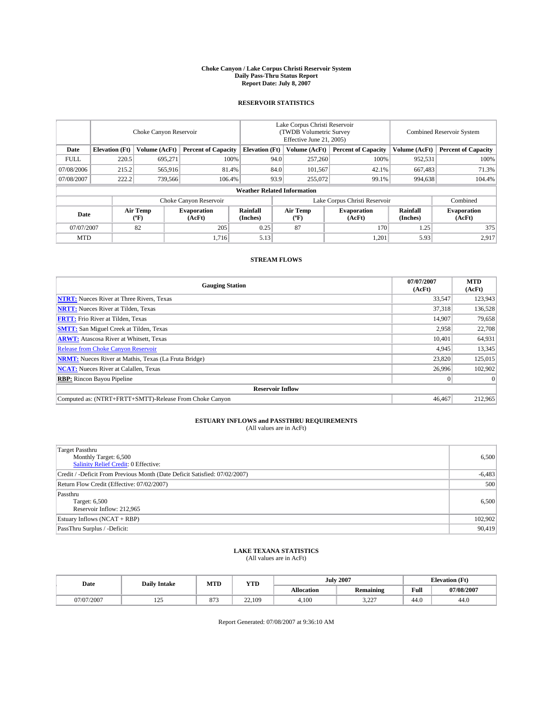#### **Choke Canyon / Lake Corpus Christi Reservoir System Daily Pass-Thru Status Report Report Date: July 8, 2007**

### **RESERVOIR STATISTICS**

|             | Choke Canyon Reservoir |                  |                              |                                    | Lake Corpus Christi Reservoir<br>(TWDB Volumetric Survey<br>Effective June 21, 2005) |                                           |                               | <b>Combined Reservoir System</b> |                              |  |
|-------------|------------------------|------------------|------------------------------|------------------------------------|--------------------------------------------------------------------------------------|-------------------------------------------|-------------------------------|----------------------------------|------------------------------|--|
| Date        | <b>Elevation</b> (Ft)  | Volume (AcFt)    | <b>Percent of Capacity</b>   | <b>Elevation</b> (Ft)              |                                                                                      | Volume (AcFt)                             | <b>Percent of Capacity</b>    | Volume (AcFt)                    | <b>Percent of Capacity</b>   |  |
| <b>FULL</b> | 220.5                  | 695,271          |                              | 100%                               | 94.0                                                                                 | 257,260                                   | 100%                          | 952,531                          | 100%                         |  |
| 07/08/2006  | 215.2                  | 565,916          | 81.4%                        |                                    | 84.0                                                                                 | 101,567                                   | 42.1%                         | 667,483                          | 71.3%                        |  |
| 07/08/2007  | 222.2                  | 739,566          | 106.4%                       |                                    | 93.9                                                                                 | 255,072                                   | 99.1%                         | 994,638                          | 104.4%                       |  |
|             |                        |                  |                              | <b>Weather Related Information</b> |                                                                                      |                                           |                               |                                  |                              |  |
|             |                        |                  | Choke Canyon Reservoir       |                                    |                                                                                      |                                           | Lake Corpus Christi Reservoir |                                  | Combined                     |  |
| Date        |                        | Air Temp<br>(°F) | <b>Evaporation</b><br>(AcFt) | Rainfall<br>(Inches)               |                                                                                      | Air Temp<br>$({}^{\mathrm{o}}\mathrm{F})$ | <b>Evaporation</b><br>(AcFt)  | Rainfall<br>(Inches)             | <b>Evaporation</b><br>(AcFt) |  |
| 07/07/2007  |                        | 82               | 205                          | 0.25                               |                                                                                      | 87                                        | 170                           | 1.25                             | 375                          |  |
| <b>MTD</b>  |                        |                  | 1.716                        | 5.13                               |                                                                                      |                                           | 1,201                         | 5.93                             | 2,917                        |  |

## **STREAM FLOWS**

| <b>Gauging Station</b>                                       | 07/07/2007<br>(AcFt) | <b>MTD</b><br>(AcFt) |
|--------------------------------------------------------------|----------------------|----------------------|
| <b>NTRT:</b> Nueces River at Three Rivers, Texas             | 33,547               | 123,943              |
| <b>NRTT:</b> Nueces River at Tilden, Texas                   | 37.318               | 136,528              |
| <b>FRTT:</b> Frio River at Tilden, Texas                     | 14.907               | 79,658               |
| <b>SMTT:</b> San Miguel Creek at Tilden, Texas               | 2,958                | 22,708               |
| <b>ARWT:</b> Atascosa River at Whitsett, Texas               | 10.401               | 64,931               |
| <b>Release from Choke Canyon Reservoir</b>                   | 4,945                | 13,345               |
| <b>NRMT:</b> Nueces River at Mathis, Texas (La Fruta Bridge) | 23,820               | 125,015              |
| <b>NCAT:</b> Nueces River at Calallen, Texas                 | 26,996               | 102,902              |
| <b>RBP:</b> Rincon Bayou Pipeline                            | $\overline{0}$       | $\Omega$             |
| <b>Reservoir Inflow</b>                                      |                      |                      |
| Computed as: (NTRT+FRTT+SMTT)-Release From Choke Canyon      | 46,467               | 212,965              |

## **ESTUARY INFLOWS and PASSTHRU REQUIREMENTS**<br>(All values are in AcFt)

| <b>Target Passthru</b><br>Monthly Target: 6,500<br>Salinity Relief Credit: 0 Effective: | 6,500    |
|-----------------------------------------------------------------------------------------|----------|
| Credit / -Deficit From Previous Month (Date Deficit Satisfied: 07/02/2007)              | $-6,483$ |
| Return Flow Credit (Effective: 07/02/2007)                                              | 500      |
| Passthru<br>Target: 6,500<br>Reservoir Inflow: 212,965                                  | 6,500    |
| Estuary Inflows (NCAT + RBP)                                                            | 102,902  |
| PassThru Surplus / -Deficit:                                                            | 90,419   |

## **LAKE TEXANA STATISTICS** (All values are in AcFt)

| Date       | <b>Daily Intake</b> | MTD                    | <b>YTD</b> |                   | <b>July 2007</b> | <b>Elevation</b> (Ft) |            |
|------------|---------------------|------------------------|------------|-------------------|------------------|-----------------------|------------|
|            |                     |                        |            | <b>Allocation</b> | <b>Remaining</b> | Full                  | 07/08/2007 |
| 07/07/2007 | ۵ - ۱<br>ب سے ج     | $\Omega$<br>$\circ$ /: | 22,109     | 4.100             | 2.22<br>---      | 44.0                  | 44.0       |

Report Generated: 07/08/2007 at 9:36:10 AM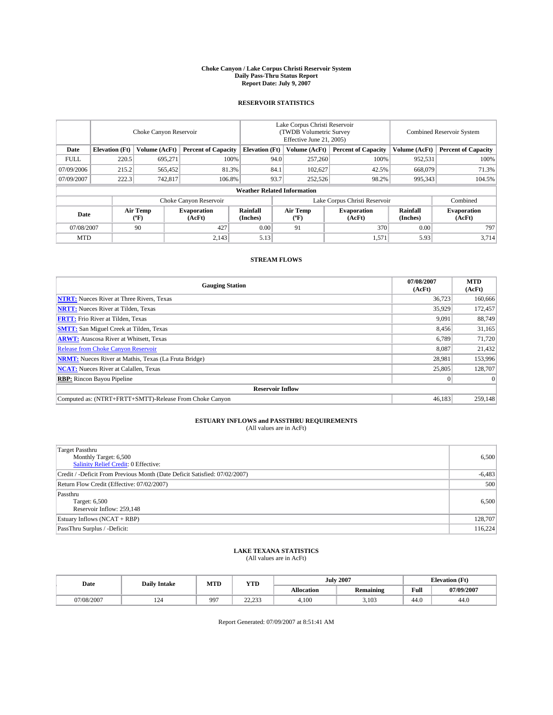#### **Choke Canyon / Lake Corpus Christi Reservoir System Daily Pass-Thru Status Report Report Date: July 9, 2007**

### **RESERVOIR STATISTICS**

|             | Choke Canyon Reservoir |                  |                              |                                    | Lake Corpus Christi Reservoir<br>(TWDB Volumetric Survey<br>Effective June 21, 2005) |                  |                               | <b>Combined Reservoir System</b> |                              |  |
|-------------|------------------------|------------------|------------------------------|------------------------------------|--------------------------------------------------------------------------------------|------------------|-------------------------------|----------------------------------|------------------------------|--|
| Date        | <b>Elevation</b> (Ft)  | Volume (AcFt)    | <b>Percent of Capacity</b>   | <b>Elevation</b> (Ft)              |                                                                                      | Volume (AcFt)    | <b>Percent of Capacity</b>    | Volume (AcFt)                    | <b>Percent of Capacity</b>   |  |
| <b>FULL</b> | 220.5                  | 695,271          | 100%                         |                                    | 94.0                                                                                 | 257,260          | 100%                          | 952,531                          | 100%                         |  |
| 07/09/2006  | 215.2                  | 565,452          | 81.3%                        |                                    | 84.1                                                                                 | 102,627          | 42.5%                         | 668,079                          | 71.3%                        |  |
| 07/09/2007  | 222.3                  | 742,817          | 106.8%                       |                                    | 93.7                                                                                 | 252,526          | 98.2%                         | 995,343                          | 104.5%                       |  |
|             |                        |                  |                              | <b>Weather Related Information</b> |                                                                                      |                  |                               |                                  |                              |  |
|             |                        |                  | Choke Canyon Reservoir       |                                    |                                                                                      |                  | Lake Corpus Christi Reservoir |                                  | Combined                     |  |
| Date        |                        | Air Temp<br>(°F) | <b>Evaporation</b><br>(AcFt) | Rainfall<br>(Inches)               |                                                                                      | Air Temp<br>("F) | <b>Evaporation</b><br>(AcFt)  | Rainfall<br>(Inches)             | <b>Evaporation</b><br>(AcFt) |  |
| 07/08/2007  |                        | 90               | 427                          | 0.00                               |                                                                                      | 91               | 370                           | 0.00                             | 797                          |  |
| <b>MTD</b>  |                        |                  | 2,143                        | 5.13                               |                                                                                      |                  | 1,571                         | 5.93                             | 3,714                        |  |

## **STREAM FLOWS**

| <b>Gauging Station</b>                                       | 07/08/2007<br>(AcFt) | <b>MTD</b><br>(AcFt) |
|--------------------------------------------------------------|----------------------|----------------------|
| <b>NTRT:</b> Nueces River at Three Rivers, Texas             | 36,723               | 160,666              |
| <b>NRTT:</b> Nueces River at Tilden, Texas                   | 35.929               | 172,457              |
| <b>FRTT:</b> Frio River at Tilden, Texas                     | 9,091                | 88,749               |
| <b>SMTT:</b> San Miguel Creek at Tilden, Texas               | 8,456                | 31,165               |
| <b>ARWT:</b> Atascosa River at Whitsett, Texas               | 6.789                | 71,720               |
| <b>Release from Choke Canyon Reservoir</b>                   | 8,087                | 21,432               |
| <b>NRMT:</b> Nueces River at Mathis, Texas (La Fruta Bridge) | 28.981               | 153,996              |
| <b>NCAT:</b> Nueces River at Calallen, Texas                 | 25,805               | 128,707              |
| <b>RBP:</b> Rincon Bayou Pipeline                            | $\mathbf{0}$         | $\Omega$             |
| <b>Reservoir Inflow</b>                                      |                      |                      |
| Computed as: (NTRT+FRTT+SMTT)-Release From Choke Canyon      | 46,183               | 259,148              |

# **ESTUARY INFLOWS and PASSTHRU REQUIREMENTS**<br>(All values are in AcFt)

| <b>Target Passthru</b><br>Monthly Target: 6,500<br>Salinity Relief Credit: 0 Effective: | 6,500    |
|-----------------------------------------------------------------------------------------|----------|
| Credit / -Deficit From Previous Month (Date Deficit Satisfied: 07/02/2007)              | $-6,483$ |
| Return Flow Credit (Effective: 07/02/2007)                                              | 500      |
| Passthru<br>Target: 6,500<br>Reservoir Inflow: 259,148                                  | 6,500    |
| Estuary Inflows (NCAT + RBP)                                                            | 128,707  |
| PassThru Surplus / -Deficit:                                                            | 116,224  |

## **LAKE TEXANA STATISTICS** (All values are in AcFt)

| Date       | <b>Daily Intake</b> | MTD | <b>YTD</b>       |                   | <b>July 2007</b> | <b>Elevation</b> (Ft) |            |
|------------|---------------------|-----|------------------|-------------------|------------------|-----------------------|------------|
|            |                     |     |                  | <b>Allocation</b> | <b>Remaining</b> | Full                  | 07/09/2007 |
| 07/08/2007 | 124                 | 997 | 22.22<br>ر رے دے | 4.100             | 3,103            | 44.0                  | 44.0       |

Report Generated: 07/09/2007 at 8:51:41 AM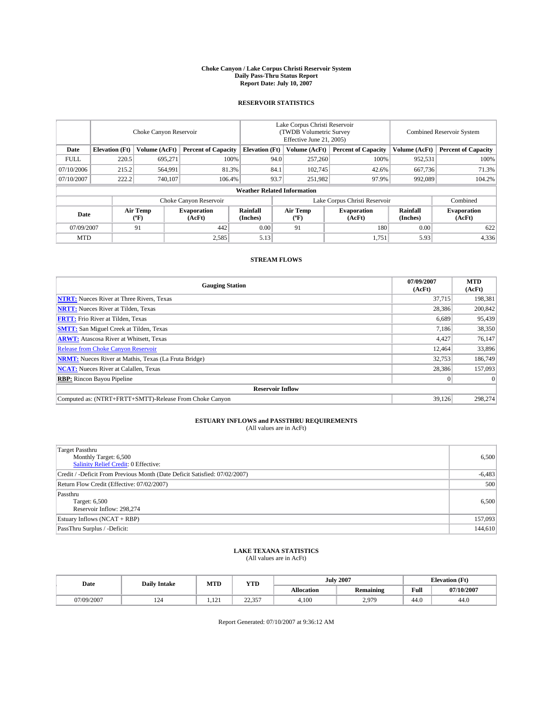#### **Choke Canyon / Lake Corpus Christi Reservoir System Daily Pass-Thru Status Report Report Date: July 10, 2007**

### **RESERVOIR STATISTICS**

|             | Choke Canyon Reservoir             |                  |                              |                       | Lake Corpus Christi Reservoir<br>(TWDB Volumetric Survey<br>Effective June 21, 2005) |                  |                               |                      | Combined Reservoir System    |  |  |
|-------------|------------------------------------|------------------|------------------------------|-----------------------|--------------------------------------------------------------------------------------|------------------|-------------------------------|----------------------|------------------------------|--|--|
| Date        | <b>Elevation</b> (Ft)              | Volume (AcFt)    | <b>Percent of Capacity</b>   | <b>Elevation</b> (Ft) |                                                                                      | Volume (AcFt)    | <b>Percent of Capacity</b>    | Volume (AcFt)        | <b>Percent of Capacity</b>   |  |  |
| <b>FULL</b> | 220.5                              | 695.271          |                              | 100%                  | 94.0                                                                                 | 257,260          | 100%                          | 952,531              | 100%                         |  |  |
| 07/10/2006  | 215.2                              | 564,991          | 81.3%                        |                       | 84.1                                                                                 | 102,745          | 42.6%                         | 667,736              | 71.3%                        |  |  |
| 07/10/2007  | 222.2                              | 740,107          | 106.4%                       |                       | 93.7                                                                                 | 251,982          | 97.9%                         | 992.089              | 104.2%                       |  |  |
|             | <b>Weather Related Information</b> |                  |                              |                       |                                                                                      |                  |                               |                      |                              |  |  |
|             |                                    |                  | Choke Canyon Reservoir       |                       |                                                                                      |                  | Lake Corpus Christi Reservoir |                      | Combined                     |  |  |
| Date        |                                    | Air Temp<br>(°F) | <b>Evaporation</b><br>(AcFt) | Rainfall<br>(Inches)  |                                                                                      | Air Temp<br>("F) | <b>Evaporation</b><br>(AcFt)  | Rainfall<br>(Inches) | <b>Evaporation</b><br>(AcFt) |  |  |
| 07/09/2007  |                                    | 91               | 442                          | 0.00                  |                                                                                      | 91               | 180                           | 0.00                 | 622                          |  |  |
| <b>MTD</b>  |                                    |                  | 2,585                        | 5.13                  |                                                                                      |                  | 1,751                         | 5.93                 | 4,336                        |  |  |

## **STREAM FLOWS**

| <b>Gauging Station</b>                                       | 07/09/2007<br>(AcFt) | <b>MTD</b><br>(AcFt) |
|--------------------------------------------------------------|----------------------|----------------------|
| <b>NTRT:</b> Nueces River at Three Rivers, Texas             | 37,715               | 198,381              |
| <b>NRTT:</b> Nueces River at Tilden, Texas                   | 28.386               | 200,842              |
| <b>FRTT:</b> Frio River at Tilden, Texas                     | 6,689                | 95,439               |
| <b>SMTT:</b> San Miguel Creek at Tilden, Texas               | 7.186                | 38,350               |
| <b>ARWT:</b> Atascosa River at Whitsett, Texas               | 4,427                | 76,147               |
| <b>Release from Choke Canyon Reservoir</b>                   | 12,464               | 33,896               |
| <b>NRMT:</b> Nueces River at Mathis, Texas (La Fruta Bridge) | 32,753               | 186,749              |
| <b>NCAT:</b> Nueces River at Calallen, Texas                 | 28,386               | 157,093              |
| <b>RBP:</b> Rincon Bayou Pipeline                            | $\mathbf{0}$         | $\Omega$             |
| <b>Reservoir Inflow</b>                                      |                      |                      |
| Computed as: (NTRT+FRTT+SMTT)-Release From Choke Canyon      | 39.126               | 298,274              |

# **ESTUARY INFLOWS and PASSTHRU REQUIREMENTS**<br>(All values are in AcFt)

| <b>Target Passthru</b><br>Monthly Target: 6,500<br>Salinity Relief Credit: 0 Effective: | 6,500    |
|-----------------------------------------------------------------------------------------|----------|
| Credit / -Deficit From Previous Month (Date Deficit Satisfied: 07/02/2007)              | $-6,483$ |
| Return Flow Credit (Effective: 07/02/2007)                                              | 500      |
| Passthru<br>Target: 6,500<br>Reservoir Inflow: 298,274                                  | 6,500    |
| Estuary Inflows (NCAT + RBP)                                                            | 157,093  |
| PassThru Surplus / -Deficit:                                                            | 144,610  |

## **LAKE TEXANA STATISTICS** (All values are in AcFt)

| Date       | <b>Daily Intake</b> | MTD                  | <b>YTD</b>         |                   | <b>July 2007</b>       | <b>Elevation</b> (Ft) |            |
|------------|---------------------|----------------------|--------------------|-------------------|------------------------|-----------------------|------------|
|            |                     |                      |                    | <b>Allocation</b> | <b>Remaining</b>       | Full                  | 07/10/2007 |
| 07/09/2007 | 124                 | $1^{\circ}$<br>1.121 | 22.27<br>، ب د د د | 4.100             | 207C<br>$\overline{a}$ | 44.0                  | 44.0       |

Report Generated: 07/10/2007 at 9:36:12 AM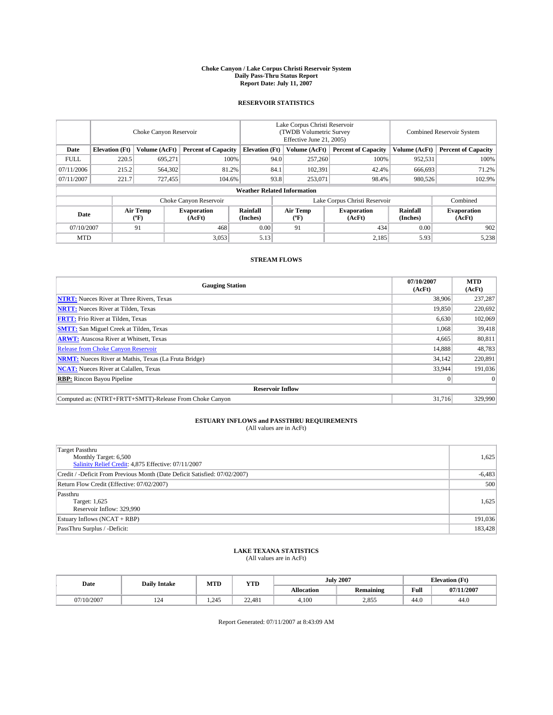#### **Choke Canyon / Lake Corpus Christi Reservoir System Daily Pass-Thru Status Report Report Date: July 11, 2007**

### **RESERVOIR STATISTICS**

|             | Choke Canyon Reservoir             |                  |                              |                       | Lake Corpus Christi Reservoir<br>(TWDB Volumetric Survey<br>Effective June 21, 2005) |                  |                               |                      | Combined Reservoir System    |  |  |
|-------------|------------------------------------|------------------|------------------------------|-----------------------|--------------------------------------------------------------------------------------|------------------|-------------------------------|----------------------|------------------------------|--|--|
| Date        | <b>Elevation</b> (Ft)              | Volume (AcFt)    | <b>Percent of Capacity</b>   | <b>Elevation</b> (Ft) |                                                                                      | Volume (AcFt)    | <b>Percent of Capacity</b>    | Volume (AcFt)        | <b>Percent of Capacity</b>   |  |  |
| <b>FULL</b> | 220.5                              | 695.271          | 100%                         |                       | 94.0                                                                                 | 257,260          | 100%                          | 952,531              | 100%                         |  |  |
| 07/11/2006  | 215.2                              | 564,302          | 81.2%                        |                       | 84.1                                                                                 | 102,391          | 42.4%                         | 666.693              | 71.2%                        |  |  |
| 07/11/2007  | 221.7                              | 727,455          | 104.6%                       |                       | 93.8                                                                                 | 253,071          | 98.4%                         | 980,526              | 102.9%                       |  |  |
|             | <b>Weather Related Information</b> |                  |                              |                       |                                                                                      |                  |                               |                      |                              |  |  |
|             |                                    |                  | Choke Canyon Reservoir       |                       |                                                                                      |                  | Lake Corpus Christi Reservoir |                      | Combined                     |  |  |
| Date        |                                    | Air Temp<br>(°F) | <b>Evaporation</b><br>(AcFt) | Rainfall<br>(Inches)  |                                                                                      | Air Temp<br>("F) | <b>Evaporation</b><br>(AcFt)  | Rainfall<br>(Inches) | <b>Evaporation</b><br>(AcFt) |  |  |
| 07/10/2007  |                                    | 91               | 468                          | 0.00                  |                                                                                      | 91               | 434                           | 0.00                 | 902                          |  |  |
| <b>MTD</b>  |                                    |                  | 3,053                        | 5.13                  |                                                                                      |                  | 2,185                         | 5.93                 | 5,238                        |  |  |

## **STREAM FLOWS**

| <b>Gauging Station</b>                                       | 07/10/2007<br>(AcFt) | <b>MTD</b><br>(AcFt) |
|--------------------------------------------------------------|----------------------|----------------------|
| <b>NTRT:</b> Nueces River at Three Rivers, Texas             | 38,906               | 237,287              |
| <b>NRTT:</b> Nueces River at Tilden, Texas                   | 19.850               | 220,692              |
| <b>FRTT:</b> Frio River at Tilden, Texas                     | 6,630                | 102,069              |
| <b>SMTT:</b> San Miguel Creek at Tilden, Texas               | 1.068                | 39,418               |
| <b>ARWT:</b> Atascosa River at Whitsett, Texas               | 4,665                | 80,811               |
| <b>Release from Choke Canyon Reservoir</b>                   | 14,888               | 48,783               |
| <b>NRMT:</b> Nueces River at Mathis, Texas (La Fruta Bridge) | 34,142               | 220,891              |
| <b>NCAT:</b> Nueces River at Calallen, Texas                 | 33.944               | 191,036              |
| <b>RBP:</b> Rincon Bayou Pipeline                            | $\mathbf{0}$         | $\Omega$             |
| <b>Reservoir Inflow</b>                                      |                      |                      |
| Computed as: (NTRT+FRTT+SMTT)-Release From Choke Canyon      | 31.716               | 329,990              |

# **ESTUARY INFLOWS and PASSTHRU REQUIREMENTS**<br>(All values are in AcFt)

| <b>Target Passthru</b><br>Monthly Target: 6,500<br>Salinity Relief Credit: 4,875 Effective: 07/11/2007 | 1,625    |
|--------------------------------------------------------------------------------------------------------|----------|
| Credit / -Deficit From Previous Month (Date Deficit Satisfied: 07/02/2007)                             | $-6,483$ |
| Return Flow Credit (Effective: 07/02/2007)                                                             | 500      |
| Passthru<br>Target: 1,625<br>Reservoir Inflow: 329,990                                                 | 1,625    |
| Estuary Inflows (NCAT + RBP)                                                                           | 191,036  |
| PassThru Surplus / -Deficit:                                                                           | 183,428  |

## **LAKE TEXANA STATISTICS** (All values are in AcFt)

| Date       | <b>Daily Intake</b> | MTD   | <b>YTD</b> |                   | <b>July 2007</b> |      | <b>Elevation</b> (Ft) |
|------------|---------------------|-------|------------|-------------------|------------------|------|-----------------------|
|            |                     |       |            | <b>Allocation</b> | <b>Remaining</b> | Full | 07/11/2007            |
| 07/10/2007 | 124                 | 1.245 | 22.481     | 4.100             | 2.855            | 44.0 | 44.0                  |

Report Generated: 07/11/2007 at 8:43:09 AM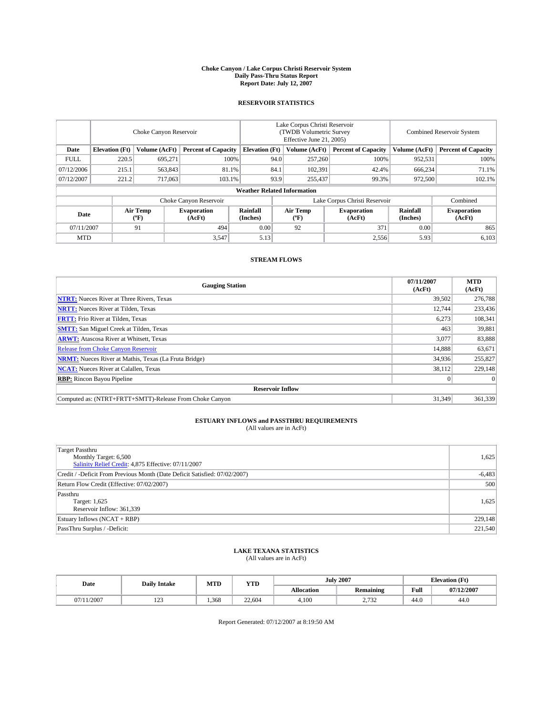#### **Choke Canyon / Lake Corpus Christi Reservoir System Daily Pass-Thru Status Report Report Date: July 12, 2007**

### **RESERVOIR STATISTICS**

|             | Choke Canyon Reservoir             |                  |                              |                       | Lake Corpus Christi Reservoir<br>(TWDB Volumetric Survey<br>Effective June 21, 2005) |                                           |                              |                      | Combined Reservoir System    |  |  |
|-------------|------------------------------------|------------------|------------------------------|-----------------------|--------------------------------------------------------------------------------------|-------------------------------------------|------------------------------|----------------------|------------------------------|--|--|
| Date        | <b>Elevation</b> (Ft)              | Volume (AcFt)    | <b>Percent of Capacity</b>   | <b>Elevation</b> (Ft) |                                                                                      | Volume (AcFt)                             | <b>Percent of Capacity</b>   | Volume (AcFt)        | <b>Percent of Capacity</b>   |  |  |
| <b>FULL</b> | 220.5                              | 695,271          | 100%                         |                       | 94.0                                                                                 | 257,260                                   | 100%                         | 952,531              | 100%                         |  |  |
| 07/12/2006  | 215.1                              | 563,843          | 81.1%                        |                       | 84.1                                                                                 | 102,391                                   | 42.4%                        | 666,234              | 71.1%                        |  |  |
| 07/12/2007  | 221.2                              | 717,063          | 103.1%                       |                       | 93.9                                                                                 | 255,437                                   | 99.3%                        | 972,500              | 102.1%                       |  |  |
|             | <b>Weather Related Information</b> |                  |                              |                       |                                                                                      |                                           |                              |                      |                              |  |  |
|             |                                    |                  | Choke Canyon Reservoir       |                       | Lake Corpus Christi Reservoir                                                        |                                           |                              |                      | Combined                     |  |  |
| Date        |                                    | Air Temp<br>(°F) | <b>Evaporation</b><br>(AcFt) | Rainfall<br>(Inches)  |                                                                                      | Air Temp<br>$({}^{\mathrm{o}}\mathrm{F})$ | <b>Evaporation</b><br>(AcFt) | Rainfall<br>(Inches) | <b>Evaporation</b><br>(AcFt) |  |  |
| 07/11/2007  |                                    | 91               | 494                          | 0.00                  |                                                                                      | 92                                        | 371                          | 0.00                 | 865                          |  |  |
| <b>MTD</b>  |                                    |                  | 3,547                        | 5.13                  |                                                                                      |                                           | 2,556                        | 5.93                 | 6,103                        |  |  |

## **STREAM FLOWS**

| <b>Gauging Station</b>                                       | 07/11/2007<br>(AcFt) | <b>MTD</b><br>(AcFt) |
|--------------------------------------------------------------|----------------------|----------------------|
| <b>NTRT:</b> Nueces River at Three Rivers, Texas             | 39,502               | 276,788              |
| <b>NRTT:</b> Nueces River at Tilden, Texas                   | 12.744               | 233,436              |
| <b>FRTT:</b> Frio River at Tilden, Texas                     | 6,273                | 108,341              |
| <b>SMTT:</b> San Miguel Creek at Tilden, Texas               | 463                  | 39,881               |
| <b>ARWT:</b> Atascosa River at Whitsett, Texas               | 3.077                | 83,888               |
| <b>Release from Choke Canyon Reservoir</b>                   | 14.888               | 63,671               |
| <b>NRMT:</b> Nueces River at Mathis, Texas (La Fruta Bridge) | 34,936               | 255,827              |
| <b>NCAT:</b> Nueces River at Calallen, Texas                 | 38,112               | 229,148              |
| <b>RBP:</b> Rincon Bayou Pipeline                            | $\mathbf{0}$         | $\Omega$             |
| <b>Reservoir Inflow</b>                                      |                      |                      |
| Computed as: (NTRT+FRTT+SMTT)-Release From Choke Canvon      | 31.349               | 361,339              |

# **ESTUARY INFLOWS and PASSTHRU REQUIREMENTS**<br>(All values are in AcFt)

| <b>Target Passthru</b><br>Monthly Target: 6,500<br>Salinity Relief Credit: 4,875 Effective: 07/11/2007 | 1,625    |
|--------------------------------------------------------------------------------------------------------|----------|
| Credit / -Deficit From Previous Month (Date Deficit Satisfied: 07/02/2007)                             | $-6,483$ |
| Return Flow Credit (Effective: 07/02/2007)                                                             | 500      |
| Passthru<br>Target: 1,625<br>Reservoir Inflow: 361,339                                                 | 1,625    |
| Estuary Inflows (NCAT + RBP)                                                                           | 229,148  |
| PassThru Surplus / -Deficit:                                                                           | 221,540  |

## **LAKE TEXANA STATISTICS** (All values are in AcFt)

| Date       | <b>Daily Intake</b> | MTD   | <b>YTD</b> |                   | <b>July 2007</b>               | <b>Elevation</b> (Ft) |            |
|------------|---------------------|-------|------------|-------------------|--------------------------------|-----------------------|------------|
|            |                     |       |            | <b>Allocation</b> | <b>Remaining</b>               | Full                  | 07/12/2007 |
| 07/11/2007 | 122<br>رے 1         | 1,368 | 22,604     | 4.100             | $. \pi \rightarrow$<br>ے دی ہے | 44.0                  | 44.0       |

Report Generated: 07/12/2007 at 8:19:50 AM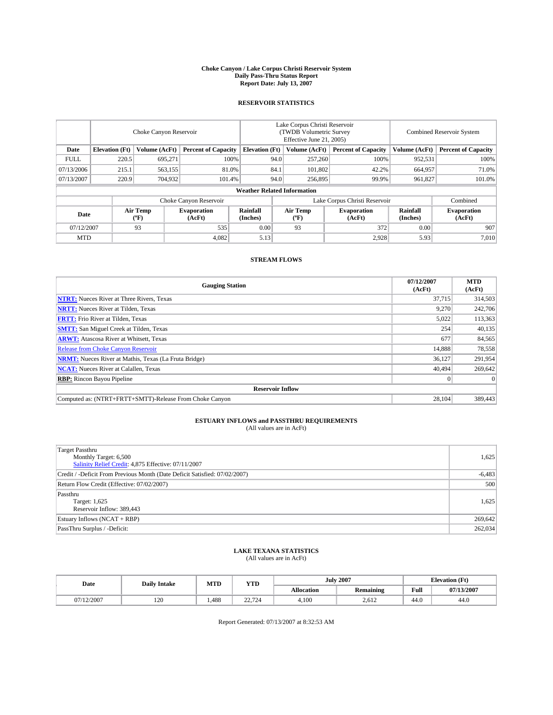#### **Choke Canyon / Lake Corpus Christi Reservoir System Daily Pass-Thru Status Report Report Date: July 13, 2007**

### **RESERVOIR STATISTICS**

|             | Choke Canyon Reservoir             |                  |                              |                       | Lake Corpus Christi Reservoir<br>(TWDB Volumetric Survey<br>Effective June 21, 2005) |                                           |                               | Combined Reservoir System |                              |  |
|-------------|------------------------------------|------------------|------------------------------|-----------------------|--------------------------------------------------------------------------------------|-------------------------------------------|-------------------------------|---------------------------|------------------------------|--|
| Date        | <b>Elevation</b> (Ft)              | Volume (AcFt)    | <b>Percent of Capacity</b>   | <b>Elevation</b> (Ft) |                                                                                      | Volume (AcFt)                             | <b>Percent of Capacity</b>    | Volume (AcFt)             | <b>Percent of Capacity</b>   |  |
| <b>FULL</b> | 220.5                              | 695.271          |                              | 100%                  | 94.0                                                                                 | 257,260                                   | 100%                          | 952,531                   | 100%                         |  |
| 07/13/2006  | 215.1                              | 563,155          | 81.0%                        |                       | 84.1                                                                                 | 101,802                                   | 42.2%                         | 664,957                   | 71.0%                        |  |
| 07/13/2007  | 220.9                              | 704,932          | 101.4%                       |                       | 94.0                                                                                 | 256,895                                   | 99.9%                         | 961,827                   | 101.0%                       |  |
|             | <b>Weather Related Information</b> |                  |                              |                       |                                                                                      |                                           |                               |                           |                              |  |
|             |                                    |                  | Choke Canyon Reservoir       |                       |                                                                                      |                                           | Lake Corpus Christi Reservoir |                           | Combined                     |  |
| Date        |                                    | Air Temp<br>(°F) | <b>Evaporation</b><br>(AcFt) | Rainfall<br>(Inches)  |                                                                                      | Air Temp<br>$({}^{\mathrm{o}}\mathrm{F})$ | <b>Evaporation</b><br>(AcFt)  | Rainfall<br>(Inches)      | <b>Evaporation</b><br>(AcFt) |  |
| 07/12/2007  |                                    | 93               | 535                          | 0.00                  |                                                                                      | 93                                        | 372                           | 0.00                      | 907                          |  |
| <b>MTD</b>  |                                    |                  | 4,082                        | 5.13                  |                                                                                      |                                           | 2,928                         | 5.93                      | 7,010                        |  |

## **STREAM FLOWS**

| <b>Gauging Station</b>                                       | 07/12/2007<br>(AcFt) | <b>MTD</b><br>(AcFt) |
|--------------------------------------------------------------|----------------------|----------------------|
| <b>NTRT:</b> Nueces River at Three Rivers, Texas             | 37,715               | 314,503              |
| <b>NRTT:</b> Nueces River at Tilden, Texas                   | 9.270                | 242,706              |
| <b>FRTT:</b> Frio River at Tilden, Texas                     | 5,022                | 113,363              |
| <b>SMTT:</b> San Miguel Creek at Tilden, Texas               | 254                  | 40,135               |
| <b>ARWT:</b> Atascosa River at Whitsett, Texas               | 677                  | 84,565               |
| <b>Release from Choke Canyon Reservoir</b>                   | 14,888               | 78,558               |
| <b>NRMT:</b> Nueces River at Mathis, Texas (La Fruta Bridge) | 36,127               | 291,954              |
| <b>NCAT:</b> Nueces River at Calallen, Texas                 | 40,494               | 269,642              |
| <b>RBP:</b> Rincon Bayou Pipeline                            | $\mathbf{0}$         | $\Omega$             |
| <b>Reservoir Inflow</b>                                      |                      |                      |
| Computed as: (NTRT+FRTT+SMTT)-Release From Choke Canyon      | 28,104               | 389,443              |

# **ESTUARY INFLOWS and PASSTHRU REQUIREMENTS**<br>(All values are in AcFt)

| <b>Target Passthru</b><br>Monthly Target: 6,500<br>Salinity Relief Credit: 4,875 Effective: 07/11/2007 | 1,625    |
|--------------------------------------------------------------------------------------------------------|----------|
| Credit / -Deficit From Previous Month (Date Deficit Satisfied: 07/02/2007)                             | $-6,483$ |
| Return Flow Credit (Effective: 07/02/2007)                                                             | 500      |
| Passthru<br>Target: 1,625<br>Reservoir Inflow: 389,443                                                 | 1,625    |
| Estuary Inflows (NCAT + RBP)                                                                           | 269,642  |
| PassThru Surplus / -Deficit:                                                                           | 262,034  |

## **LAKE TEXANA STATISTICS** (All values are in AcFt)

| Date       | <b>Daily Intake</b> | MTD  | <b>YTD</b> |                   | <b>July 2007</b> |      | <b>Elevation</b> (Ft) |
|------------|---------------------|------|------------|-------------------|------------------|------|-----------------------|
|            |                     |      |            | <b>Allocation</b> | <b>Remaining</b> | Full | 07/13/2007            |
| 07/12/2007 | 120                 | ,488 | 22.724     | 4.100             | 2,612            | 44.0 | 44.0                  |

Report Generated: 07/13/2007 at 8:32:53 AM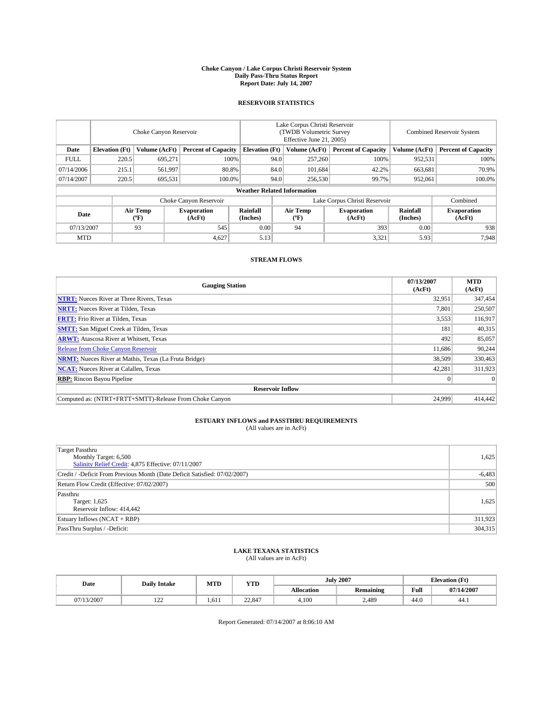#### **Choke Canyon / Lake Corpus Christi Reservoir System Daily Pass-Thru Status Report Report Date: July 14, 2007**

### **RESERVOIR STATISTICS**

|             | Choke Canyon Reservoir             |                               |                              |                       | Lake Corpus Christi Reservoir<br>(TWDB Volumetric Survey<br>Effective June 21, 2005) |                  |                              |                      | Combined Reservoir System    |  |  |
|-------------|------------------------------------|-------------------------------|------------------------------|-----------------------|--------------------------------------------------------------------------------------|------------------|------------------------------|----------------------|------------------------------|--|--|
| Date        | <b>Elevation</b> (Ft)              | Volume (AcFt)                 | <b>Percent of Capacity</b>   | <b>Elevation</b> (Ft) |                                                                                      | Volume (AcFt)    | <b>Percent of Capacity</b>   | Volume (AcFt)        | <b>Percent of Capacity</b>   |  |  |
| <b>FULL</b> | 220.5                              | 695,271                       |                              | 100%                  | 94.0                                                                                 | 257,260          | 100%                         | 952,531              | 100%                         |  |  |
| 07/14/2006  | 215.1                              | 561,997                       | 80.8%                        |                       | 84.0                                                                                 | 101,684          | 42.2%                        | 663,681              | 70.9%                        |  |  |
| 07/14/2007  | 220.5                              | 695,531                       | 100.0%                       |                       | 94.0                                                                                 | 256,530          | 99.7%                        | 952,061              | 100.0%                       |  |  |
|             | <b>Weather Related Information</b> |                               |                              |                       |                                                                                      |                  |                              |                      |                              |  |  |
|             |                                    | Lake Corpus Christi Reservoir |                              |                       |                                                                                      | Combined         |                              |                      |                              |  |  |
| Date        |                                    | Air Temp<br>(°F)              | <b>Evaporation</b><br>(AcFt) | Rainfall<br>(Inches)  |                                                                                      | Air Temp<br>("F) | <b>Evaporation</b><br>(AcFt) | Rainfall<br>(Inches) | <b>Evaporation</b><br>(AcFt) |  |  |
| 07/13/2007  |                                    | 93                            | 545                          | 0.00                  |                                                                                      | 94               | 393                          | 0.00                 | 938                          |  |  |
| <b>MTD</b>  |                                    |                               | 4,627                        | 5.13                  |                                                                                      |                  | 3,321                        | 5.93                 | 7,948                        |  |  |

## **STREAM FLOWS**

| <b>Gauging Station</b>                                       | 07/13/2007<br>(AcFt) | <b>MTD</b><br>(AcFt) |
|--------------------------------------------------------------|----------------------|----------------------|
| <b>NTRT:</b> Nueces River at Three Rivers, Texas             | 32,951               | 347,454              |
| <b>NRTT:</b> Nueces River at Tilden, Texas                   | 7.801                | 250,507              |
| <b>FRTT:</b> Frio River at Tilden, Texas                     | 3,553                | 116,917              |
| <b>SMTT:</b> San Miguel Creek at Tilden, Texas               | 181                  | 40,315               |
| <b>ARWT:</b> Atascosa River at Whitsett, Texas               | 492                  | 85,057               |
| <b>Release from Choke Canyon Reservoir</b>                   | 11,686               | 90,244               |
| <b>NRMT:</b> Nueces River at Mathis, Texas (La Fruta Bridge) | 38,509               | 330,463              |
| <b>NCAT:</b> Nueces River at Calallen, Texas                 | 42,281               | 311,923              |
| <b>RBP:</b> Rincon Bayou Pipeline                            | $\mathbf{0}$         | $\Omega$             |
| <b>Reservoir Inflow</b>                                      |                      |                      |
| Computed as: (NTRT+FRTT+SMTT)-Release From Choke Canyon      | 24,999               | 414,442              |

# **ESTUARY INFLOWS and PASSTHRU REQUIREMENTS**<br>(All values are in AcFt)

| <b>Target Passthru</b><br>Monthly Target: 6,500<br>Salinity Relief Credit: 4,875 Effective: 07/11/2007 | 1,625    |
|--------------------------------------------------------------------------------------------------------|----------|
| Credit / -Deficit From Previous Month (Date Deficit Satisfied: 07/02/2007)                             | $-6,483$ |
| Return Flow Credit (Effective: 07/02/2007)                                                             | 500      |
| Passthru<br>Target: 1,625<br>Reservoir Inflow: 414,442                                                 | 1,625    |
| Estuary Inflows (NCAT + RBP)                                                                           | 311,923  |
| PassThru Surplus / -Deficit:                                                                           | 304,315  |

## **LAKE TEXANA STATISTICS** (All values are in AcFt)

| Date       | <b>Daily Intake</b> | MTD   | <b>YTD</b> |                   | <b>July 2007</b> |      | <b>Elevation</b> (Ft) |
|------------|---------------------|-------|------------|-------------------|------------------|------|-----------------------|
|            |                     |       |            | <b>Allocation</b> | <b>Remaining</b> | Full | 07/14/2007            |
| 07/13/2007 | $\sim$<br>--        | 1.611 | 22,847     | 4.100             | 2,489            | 44.0 | 44.1                  |

Report Generated: 07/14/2007 at 8:06:10 AM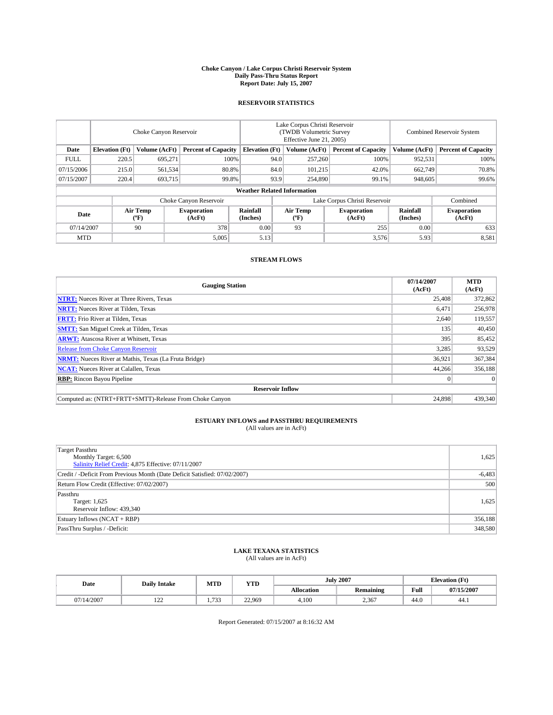#### **Choke Canyon / Lake Corpus Christi Reservoir System Daily Pass-Thru Status Report Report Date: July 15, 2007**

### **RESERVOIR STATISTICS**

|             | Choke Canyon Reservoir |                  |                              |                                    | Lake Corpus Christi Reservoir<br>(TWDB Volumetric Survey<br>Effective June 21, 2005) |                  |                               | Combined Reservoir System |                              |  |
|-------------|------------------------|------------------|------------------------------|------------------------------------|--------------------------------------------------------------------------------------|------------------|-------------------------------|---------------------------|------------------------------|--|
| Date        | <b>Elevation</b> (Ft)  | Volume (AcFt)    | <b>Percent of Capacity</b>   | <b>Elevation</b> (Ft)              |                                                                                      | Volume (AcFt)    | <b>Percent of Capacity</b>    | Volume (AcFt)             | <b>Percent of Capacity</b>   |  |
| <b>FULL</b> | 220.5                  | 695.271          | 100%                         |                                    | 94.0                                                                                 | 257,260          | 100%                          | 952,531                   | 100%                         |  |
| 07/15/2006  | 215.0                  | 561,534          | 80.8%                        |                                    | 84.0                                                                                 | 101,215          | 42.0%                         | 662,749                   | 70.8%                        |  |
| 07/15/2007  | 220.4                  | 693,715          | 99.8%                        |                                    | 93.9                                                                                 | 254,890          | 99.1%                         | 948,605                   | 99.6%                        |  |
|             |                        |                  |                              | <b>Weather Related Information</b> |                                                                                      |                  |                               |                           |                              |  |
|             |                        |                  | Choke Canyon Reservoir       |                                    |                                                                                      |                  | Lake Corpus Christi Reservoir |                           | Combined                     |  |
| Date        |                        | Air Temp<br>(°F) | <b>Evaporation</b><br>(AcFt) | Rainfall<br>(Inches)               |                                                                                      | Air Temp<br>("F) | <b>Evaporation</b><br>(AcFt)  | Rainfall<br>(Inches)      | <b>Evaporation</b><br>(AcFt) |  |
| 07/14/2007  |                        | 90               | 378                          | 0.00                               |                                                                                      | 93               | 255                           | 0.00                      | 633                          |  |
| <b>MTD</b>  |                        |                  | 5,005                        | 5.13                               |                                                                                      |                  | 3,576                         | 5.93                      | 8,581                        |  |

## **STREAM FLOWS**

| <b>Gauging Station</b>                                       | 07/14/2007<br>(AcFt) | <b>MTD</b><br>(AcFt) |
|--------------------------------------------------------------|----------------------|----------------------|
| <b>NTRT:</b> Nueces River at Three Rivers, Texas             | 25,408               | 372,862              |
| <b>NRTT:</b> Nueces River at Tilden, Texas                   | 6,471                | 256,978              |
| <b>FRTT:</b> Frio River at Tilden, Texas                     | 2,640                | 119,557              |
| <b>SMTT:</b> San Miguel Creek at Tilden, Texas               | 135                  | 40,450               |
| <b>ARWT:</b> Atascosa River at Whitsett, Texas               | 395                  | 85,452               |
| <b>Release from Choke Canyon Reservoir</b>                   | 3,285                | 93,529               |
| <b>NRMT:</b> Nueces River at Mathis, Texas (La Fruta Bridge) | 36,921               | 367,384              |
| <b>NCAT:</b> Nueces River at Calallen, Texas                 | 44,266               | 356,188              |
| <b>RBP:</b> Rincon Bayou Pipeline                            | $\mathbf{0}$         | $\Omega$             |
| <b>Reservoir Inflow</b>                                      |                      |                      |
| Computed as: (NTRT+FRTT+SMTT)-Release From Choke Canyon      | 24.898               | 439,340              |

# **ESTUARY INFLOWS and PASSTHRU REQUIREMENTS**<br>(All values are in AcFt)

| <b>Target Passthru</b><br>Monthly Target: 6,500<br>Salinity Relief Credit: 4,875 Effective: 07/11/2007 | 1,625    |
|--------------------------------------------------------------------------------------------------------|----------|
| Credit / -Deficit From Previous Month (Date Deficit Satisfied: 07/02/2007)                             | $-6,483$ |
| Return Flow Credit (Effective: 07/02/2007)                                                             | 500      |
| Passthru<br>Target: 1,625<br>Reservoir Inflow: 439,340                                                 | 1,625    |
| Estuary Inflows (NCAT + RBP)                                                                           | 356,188  |
| PassThru Surplus / -Deficit:                                                                           | 348,580  |

## **LAKE TEXANA STATISTICS** (All values are in AcFt)

| Date       | <b>Daily Intake</b> | MTD                     | <b>YTD</b> |                   | <b>July 2007</b> | <b>Elevation</b> (Ft) |            |
|------------|---------------------|-------------------------|------------|-------------------|------------------|-----------------------|------------|
|            |                     |                         |            | <b>Allocation</b> | <b>Remaining</b> | Full                  | 07/15/2007 |
| 07/14/2007 | $\sim$<br>$-1$      | 733<br>۔ ب<br>$\cdot$ . | 22.969     | 4.100             | 2,367            | 44.0                  | 44.1       |

Report Generated: 07/15/2007 at 8:16:32 AM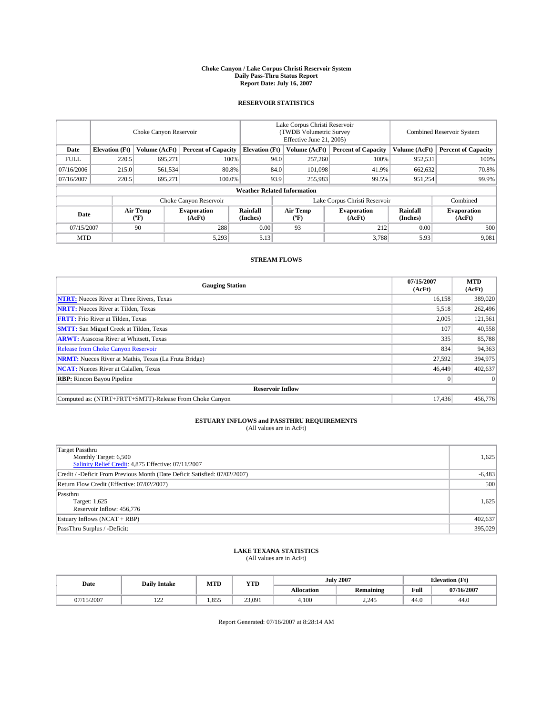#### **Choke Canyon / Lake Corpus Christi Reservoir System Daily Pass-Thru Status Report Report Date: July 16, 2007**

### **RESERVOIR STATISTICS**

|             | Choke Canyon Reservoir |                  |                              |                                    | Lake Corpus Christi Reservoir<br>(TWDB Volumetric Survey<br>Effective June 21, 2005) |                  |                               | <b>Combined Reservoir System</b> |                              |  |
|-------------|------------------------|------------------|------------------------------|------------------------------------|--------------------------------------------------------------------------------------|------------------|-------------------------------|----------------------------------|------------------------------|--|
| Date        | <b>Elevation</b> (Ft)  | Volume (AcFt)    | <b>Percent of Capacity</b>   | <b>Elevation</b> (Ft)              |                                                                                      | Volume (AcFt)    | <b>Percent of Capacity</b>    | Volume (AcFt)                    | <b>Percent of Capacity</b>   |  |
| <b>FULL</b> | 220.5                  | 695.271          |                              | 100%                               | 94.0                                                                                 | 257,260          | 100%                          | 952,531                          | 100%                         |  |
| 07/16/2006  | 215.0                  | 561,534          |                              | 80.8%                              | 84.0                                                                                 | 101.098          | 41.9%                         | 662,632                          | 70.8%                        |  |
| 07/16/2007  | 220.5                  | 695,271          | 100.0%                       |                                    | 93.9                                                                                 | 255,983          | 99.5%                         | 951,254                          | 99.9%                        |  |
|             |                        |                  |                              | <b>Weather Related Information</b> |                                                                                      |                  |                               |                                  |                              |  |
|             |                        |                  | Choke Canyon Reservoir       |                                    |                                                                                      |                  | Lake Corpus Christi Reservoir |                                  | Combined                     |  |
| Date        |                        | Air Temp<br>(°F) | <b>Evaporation</b><br>(AcFt) | Rainfall<br>(Inches)               |                                                                                      | Air Temp<br>("F) | <b>Evaporation</b><br>(AcFt)  | Rainfall<br>(Inches)             | <b>Evaporation</b><br>(AcFt) |  |
| 07/15/2007  |                        | 90               | 288                          | 0.00                               |                                                                                      | 93               | 212                           | 0.00                             | 500                          |  |
| <b>MTD</b>  |                        |                  | 5,293                        | 5.13                               |                                                                                      |                  | 3,788                         | 5.93                             | 9,081                        |  |

## **STREAM FLOWS**

| <b>Gauging Station</b>                                       | 07/15/2007<br>(AcFt) | <b>MTD</b><br>(AcFt) |
|--------------------------------------------------------------|----------------------|----------------------|
| <b>NTRT:</b> Nueces River at Three Rivers, Texas             | 16,158               | 389,020              |
| <b>NRTT:</b> Nueces River at Tilden, Texas                   | 5.518                | 262,496              |
| <b>FRTT:</b> Frio River at Tilden, Texas                     | 2,005                | 121,561              |
| <b>SMTT:</b> San Miguel Creek at Tilden, Texas               | 107                  | 40,558               |
| <b>ARWT:</b> Atascosa River at Whitsett, Texas               | 335                  | 85,788               |
| <b>Release from Choke Canyon Reservoir</b>                   | 834                  | 94,363               |
| <b>NRMT:</b> Nueces River at Mathis, Texas (La Fruta Bridge) | 27,592               | 394,975              |
| <b>NCAT:</b> Nueces River at Calallen, Texas                 | 46,449               | 402,637              |
| <b>RBP:</b> Rincon Bayou Pipeline                            | $\mathbf{0}$         | $\Omega$             |
| <b>Reservoir Inflow</b>                                      |                      |                      |
| Computed as: (NTRT+FRTT+SMTT)-Release From Choke Canyon      | 17.436               | 456,776              |

# **ESTUARY INFLOWS and PASSTHRU REQUIREMENTS**<br>(All values are in AcFt)

| Target Passthru<br>Monthly Target: 6,500<br>Salinity Relief Credit: 4,875 Effective: 07/11/2007 | 1,625    |
|-------------------------------------------------------------------------------------------------|----------|
| Credit / -Deficit From Previous Month (Date Deficit Satisfied: 07/02/2007)                      | $-6,483$ |
| Return Flow Credit (Effective: 07/02/2007)                                                      | 500      |
| Passthru<br>Target: 1,625<br>Reservoir Inflow: 456,776                                          | 1,625    |
| Estuary Inflows (NCAT + RBP)                                                                    | 402,637  |
| PassThru Surplus / -Deficit:                                                                    | 395,029  |

## **LAKE TEXANA STATISTICS** (All values are in AcFt)

| Date       | <b>Daily Intake</b> | MTD   | <b>YTD</b> |                   | <b>July 2007</b> | <b>Elevation</b> (Ft) |            |
|------------|---------------------|-------|------------|-------------------|------------------|-----------------------|------------|
|            |                     |       |            | <b>Allocation</b> | <b>Remaining</b> | Full                  | 07/16/2007 |
| 07/15/2007 | $\sim$<br>$-1$      | 1.855 | 23,091     | 4.100             | 2.245            | 44.0                  | 44.0       |

Report Generated: 07/16/2007 at 8:28:14 AM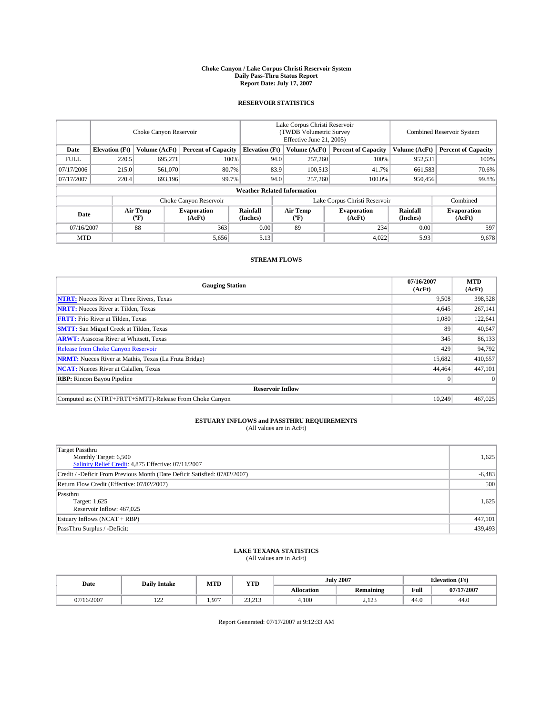#### **Choke Canyon / Lake Corpus Christi Reservoir System Daily Pass-Thru Status Report Report Date: July 17, 2007**

### **RESERVOIR STATISTICS**

|             | Choke Canyon Reservoir             |                  |                              |                       | Lake Corpus Christi Reservoir<br>(TWDB Volumetric Survey<br>Effective June 21, 2005) |                  |                               | <b>Combined Reservoir System</b> |                              |  |
|-------------|------------------------------------|------------------|------------------------------|-----------------------|--------------------------------------------------------------------------------------|------------------|-------------------------------|----------------------------------|------------------------------|--|
| Date        | <b>Elevation</b> (Ft)              | Volume (AcFt)    | <b>Percent of Capacity</b>   | <b>Elevation</b> (Ft) |                                                                                      | Volume (AcFt)    | <b>Percent of Capacity</b>    | Volume (AcFt)                    | <b>Percent of Capacity</b>   |  |
| <b>FULL</b> | 220.5                              | 695.271          |                              | 100%                  | 94.0                                                                                 | 257,260          | 100%                          | 952,531                          | 100%                         |  |
| 07/17/2006  | 215.0                              | 561,070          | 80.7%                        |                       | 83.9                                                                                 | 100,513          | 41.7%                         | 661,583                          | 70.6%                        |  |
| 07/17/2007  | 220.4                              | 693,196          | 99.7%                        |                       | 94.0                                                                                 | 257,260          | 100.0%                        | 950.456                          | 99.8%                        |  |
|             | <b>Weather Related Information</b> |                  |                              |                       |                                                                                      |                  |                               |                                  |                              |  |
|             |                                    |                  | Choke Canyon Reservoir       |                       |                                                                                      |                  | Lake Corpus Christi Reservoir |                                  | Combined                     |  |
| Date        |                                    | Air Temp<br>(°F) | <b>Evaporation</b><br>(AcFt) | Rainfall<br>(Inches)  |                                                                                      | Air Temp<br>("F) | <b>Evaporation</b><br>(AcFt)  | Rainfall<br>(Inches)             | <b>Evaporation</b><br>(AcFt) |  |
| 07/16/2007  |                                    | 88               | 363                          | 0.00                  |                                                                                      | 89               | 234                           | 0.00                             | 597                          |  |
| <b>MTD</b>  |                                    |                  | 5,656                        | 5.13                  |                                                                                      |                  | 4,022                         | 5.93                             | 9,678                        |  |

## **STREAM FLOWS**

| <b>Gauging Station</b>                                       | 07/16/2007<br>(AcFt) | <b>MTD</b><br>(AcFt) |
|--------------------------------------------------------------|----------------------|----------------------|
| <b>NTRT:</b> Nueces River at Three Rivers, Texas             | 9,508                | 398,528              |
| <b>NRTT:</b> Nueces River at Tilden, Texas                   | 4.645                | 267,141              |
| <b>FRTT:</b> Frio River at Tilden, Texas                     | 1.080                | 122,641              |
| <b>SMTT:</b> San Miguel Creek at Tilden, Texas               | 89                   | 40,647               |
| <b>ARWT:</b> Atascosa River at Whitsett, Texas               | 345                  | 86,133               |
| <b>Release from Choke Canyon Reservoir</b>                   | 429                  | 94,792               |
| <b>NRMT:</b> Nueces River at Mathis, Texas (La Fruta Bridge) | 15,682               | 410,657              |
| <b>NCAT:</b> Nueces River at Calallen, Texas                 | 44.464               | 447.101              |
| <b>RBP:</b> Rincon Bayou Pipeline                            | $\mathbf{0}$         | $\Omega$             |
| <b>Reservoir Inflow</b>                                      |                      |                      |
| Computed as: (NTRT+FRTT+SMTT)-Release From Choke Canyon      | 10.249               | 467,025              |

# **ESTUARY INFLOWS and PASSTHRU REQUIREMENTS**<br>(All values are in AcFt)

| <b>Target Passthru</b><br>Monthly Target: 6,500<br>Salinity Relief Credit: 4,875 Effective: 07/11/2007 | 1,625    |
|--------------------------------------------------------------------------------------------------------|----------|
| Credit / -Deficit From Previous Month (Date Deficit Satisfied: 07/02/2007)                             | $-6,483$ |
| Return Flow Credit (Effective: 07/02/2007)                                                             | 500      |
| Passthru<br>Target: 1,625<br>Reservoir Inflow: 467,025                                                 | 1,625    |
| Estuary Inflows (NCAT + RBP)                                                                           | 447,101  |
| PassThru Surplus / -Deficit:                                                                           | 439,493  |

## **LAKE TEXANA STATISTICS** (All values are in AcFt)

| Date       | <b>Daily Intake</b> | MTD   | <b>YTD</b>             |                   | <b>July 2007</b> | <b>Elevation</b> (Ft) |            |
|------------|---------------------|-------|------------------------|-------------------|------------------|-----------------------|------------|
|            |                     |       |                        | <b>Allocation</b> | <b>Remaining</b> | Full                  | 07/17/2007 |
| 07/16/2007 | $\sim$<br>$-1$      | 1.977 | 22.212<br><i>-</i> --- | 4.100             | 122<br>د عدد ک   | 44.0                  | 44.0       |

Report Generated: 07/17/2007 at 9:12:33 AM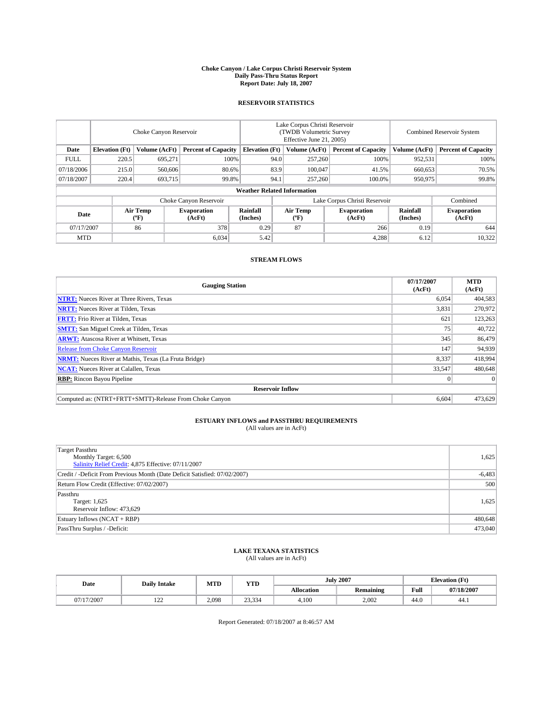#### **Choke Canyon / Lake Corpus Christi Reservoir System Daily Pass-Thru Status Report Report Date: July 18, 2007**

### **RESERVOIR STATISTICS**

|             | Choke Canyon Reservoir             |                  |                              |                       | Lake Corpus Christi Reservoir<br>(TWDB Volumetric Survey<br>Effective June 21, 2005) |                  |                               |                      | <b>Combined Reservoir System</b> |  |  |
|-------------|------------------------------------|------------------|------------------------------|-----------------------|--------------------------------------------------------------------------------------|------------------|-------------------------------|----------------------|----------------------------------|--|--|
| Date        | <b>Elevation</b> (Ft)              | Volume (AcFt)    | <b>Percent of Capacity</b>   | <b>Elevation</b> (Ft) |                                                                                      | Volume (AcFt)    | <b>Percent of Capacity</b>    | Volume (AcFt)        | <b>Percent of Capacity</b>       |  |  |
| <b>FULL</b> | 220.5                              | 695,271          |                              | 100%                  | 94.0                                                                                 | 257,260          | 100%                          | 952,531              | 100%                             |  |  |
| 07/18/2006  | 215.0                              | 560,606          | 80.6%                        |                       | 83.9                                                                                 | 100,047          | 41.5%                         | 660,653              | 70.5%                            |  |  |
| 07/18/2007  | 220.4                              | 693,715          | 99.8%                        |                       | 94.1                                                                                 | 257,260          | 100.0%                        | 950,975              | 99.8%                            |  |  |
|             | <b>Weather Related Information</b> |                  |                              |                       |                                                                                      |                  |                               |                      |                                  |  |  |
|             |                                    |                  | Choke Canyon Reservoir       |                       |                                                                                      |                  | Lake Corpus Christi Reservoir |                      | Combined                         |  |  |
| Date        |                                    | Air Temp<br>(°F) | <b>Evaporation</b><br>(AcFt) | Rainfall<br>(Inches)  |                                                                                      | Air Temp<br>("F) | <b>Evaporation</b><br>(AcFt)  | Rainfall<br>(Inches) | <b>Evaporation</b><br>(AcFt)     |  |  |
| 07/17/2007  |                                    | 86               | 378                          | 0.29                  |                                                                                      | 87               | 266                           | 0.19                 | 644                              |  |  |
| <b>MTD</b>  |                                    |                  | 6,034                        | 5.42                  |                                                                                      |                  | 4,288                         | 6.12                 | 10,322                           |  |  |

## **STREAM FLOWS**

| <b>Gauging Station</b>                                       | 07/17/2007<br>(AcFt) | <b>MTD</b><br>(AcFt) |
|--------------------------------------------------------------|----------------------|----------------------|
| <b>NTRT:</b> Nueces River at Three Rivers, Texas             | 6,054                | 404,583              |
| <b>NRTT:</b> Nueces River at Tilden, Texas                   | 3,831                | 270,972              |
| <b>FRTT:</b> Frio River at Tilden, Texas                     | 621                  | 123,263              |
| <b>SMTT:</b> San Miguel Creek at Tilden, Texas               | 75                   | 40,722               |
| <b>ARWT:</b> Atascosa River at Whitsett, Texas               | 345                  | 86,479               |
| <b>Release from Choke Canyon Reservoir</b>                   | 147                  | 94,939               |
| <b>NRMT:</b> Nueces River at Mathis, Texas (La Fruta Bridge) | 8,337                | 418,994              |
| <b>NCAT:</b> Nueces River at Calallen, Texas                 | 33,547               | 480,648              |
| <b>RBP:</b> Rincon Bayou Pipeline                            | $\mathbf{0}$         | $\Omega$             |
| <b>Reservoir Inflow</b>                                      |                      |                      |
| Computed as: (NTRT+FRTT+SMTT)-Release From Choke Canyon      | 6.604                | 473,629              |

# **ESTUARY INFLOWS and PASSTHRU REQUIREMENTS**<br>(All values are in AcFt)

| <b>Target Passthru</b><br>Monthly Target: 6,500<br>Salinity Relief Credit: 4,875 Effective: 07/11/2007 | 1,625    |
|--------------------------------------------------------------------------------------------------------|----------|
| Credit / -Deficit From Previous Month (Date Deficit Satisfied: 07/02/2007)                             | $-6,483$ |
| Return Flow Credit (Effective: 07/02/2007)                                                             | 500      |
| Passthru<br>Target: 1,625<br>Reservoir Inflow: 473,629                                                 | 1,625    |
| Estuary Inflows (NCAT + RBP)                                                                           | 480,648  |
| PassThru Surplus / -Deficit:                                                                           | 473,040  |

## **LAKE TEXANA STATISTICS** (All values are in AcFt)

| Date       | <b>Daily Intake</b> | MTD   | <b>YTD</b>       |                   | <b>July 2007</b> | <b>Elevation</b> (Ft) |            |
|------------|---------------------|-------|------------------|-------------------|------------------|-----------------------|------------|
|            |                     |       |                  | <b>Allocation</b> | <b>Remaining</b> | Full                  | 07/18/2007 |
| 07/17/2007 | $\sim$<br>$-1$      | 2.098 | 22.224<br>23.334 | 4.100             | 2.002            | 44.0                  | 44.1       |

Report Generated: 07/18/2007 at 8:46:57 AM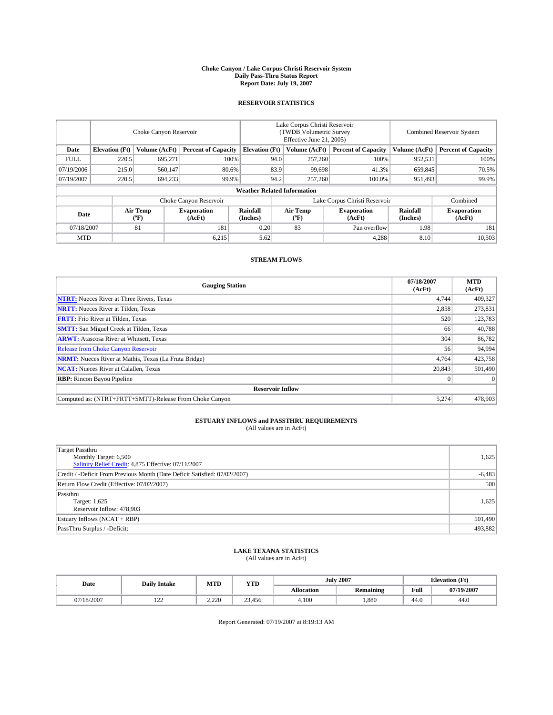#### **Choke Canyon / Lake Corpus Christi Reservoir System Daily Pass-Thru Status Report Report Date: July 19, 2007**

### **RESERVOIR STATISTICS**

|             | Choke Canyon Reservoir |                         |                              |                                    | Lake Corpus Christi Reservoir<br>(TWDB Volumetric Survey<br>Effective June 21, 2005) |                  |                               |                      | <b>Combined Reservoir System</b> |  |  |
|-------------|------------------------|-------------------------|------------------------------|------------------------------------|--------------------------------------------------------------------------------------|------------------|-------------------------------|----------------------|----------------------------------|--|--|
| Date        | <b>Elevation</b> (Ft)  | Volume (AcFt)           | <b>Percent of Capacity</b>   | <b>Elevation</b> (Ft)              |                                                                                      | Volume (AcFt)    | <b>Percent of Capacity</b>    | Volume (AcFt)        | <b>Percent of Capacity</b>       |  |  |
| <b>FULL</b> | 220.5                  | 695,271                 | 100%                         |                                    | 94.0                                                                                 | 257,260          | 100%                          | 952,531              | 100%                             |  |  |
| 07/19/2006  | 215.0                  | 560,147                 | 80.6%                        |                                    | 83.9                                                                                 | 99,698           | 41.3%                         | 659,845              | 70.5%                            |  |  |
| 07/19/2007  | 220.5                  | 694,233                 | 99.9%                        |                                    | 94.2                                                                                 | 257,260          | 100.0%                        | 951.493              | 99.9%                            |  |  |
|             |                        |                         |                              | <b>Weather Related Information</b> |                                                                                      |                  |                               |                      |                                  |  |  |
|             |                        |                         | Choke Canyon Reservoir       |                                    |                                                                                      |                  | Lake Corpus Christi Reservoir |                      | Combined                         |  |  |
| Date        |                        | <b>Air Temp</b><br>(°F) | <b>Evaporation</b><br>(AcFt) | Rainfall<br>(Inches)               |                                                                                      | Air Temp<br>("F) | <b>Evaporation</b><br>(AcFt)  | Rainfall<br>(Inches) | <b>Evaporation</b><br>(AcFt)     |  |  |
| 07/18/2007  |                        | 81                      | 181                          | 0.20                               |                                                                                      | 83               | Pan overflow                  | 1.98                 | 181                              |  |  |
| <b>MTD</b>  |                        |                         | 6,215                        | 5.62                               |                                                                                      |                  | 4,288                         | 8.10                 | 10,503                           |  |  |

## **STREAM FLOWS**

| <b>Gauging Station</b>                                       | 07/18/2007<br>(AcFt) | <b>MTD</b><br>(AcFt) |
|--------------------------------------------------------------|----------------------|----------------------|
| <b>NTRT:</b> Nueces River at Three Rivers, Texas             | 4.744                | 409,327              |
| <b>NRTT:</b> Nueces River at Tilden, Texas                   | 2.858                | 273,831              |
| <b>FRTT:</b> Frio River at Tilden, Texas                     | 520                  | 123,783              |
| <b>SMTT:</b> San Miguel Creek at Tilden, Texas               | 66                   | 40,788               |
| <b>ARWT:</b> Atascosa River at Whitsett, Texas               | 304                  | 86,782               |
| <b>Release from Choke Canyon Reservoir</b>                   | 56                   | 94,994               |
| <b>NRMT:</b> Nueces River at Mathis, Texas (La Fruta Bridge) | 4,764                | 423,758              |
| <b>NCAT:</b> Nueces River at Calallen, Texas                 | 20,843               | 501,490              |
| <b>RBP:</b> Rincon Bayou Pipeline                            | $\mathbf{0}$         | $\Omega$             |
| <b>Reservoir Inflow</b>                                      |                      |                      |
| Computed as: (NTRT+FRTT+SMTT)-Release From Choke Canyon      | 5.274                | 478,903              |

# **ESTUARY INFLOWS and PASSTHRU REQUIREMENTS**<br>(All values are in AcFt)

| <b>Target Passthru</b><br>Monthly Target: 6,500<br>Salinity Relief Credit: 4,875 Effective: 07/11/2007 | 1,625    |
|--------------------------------------------------------------------------------------------------------|----------|
| Credit / -Deficit From Previous Month (Date Deficit Satisfied: 07/02/2007)                             | $-6,483$ |
| Return Flow Credit (Effective: 07/02/2007)                                                             | 500      |
| Passthru<br>Target: 1,625<br>Reservoir Inflow: 478,903                                                 | 1,625    |
| Estuary Inflows (NCAT + RBP)                                                                           | 501,490  |
| PassThru Surplus / -Deficit:                                                                           | 493,882  |

## **LAKE TEXANA STATISTICS** (All values are in AcFt)

| Date       | <b>Daily Intake</b> | MTD            | <b>YTD</b> |                   | <b>July 2007</b> |      | <b>Elevation</b> (Ft) |
|------------|---------------------|----------------|------------|-------------------|------------------|------|-----------------------|
|            |                     |                |            | <b>Allocation</b> | <b>Remaining</b> | Full | 07/19/2007            |
| 07/18/2007 | $\sim$<br>$-1$      | 2.220<br>2.ZZU | 23.456     | 4.100             | .880             | 44.0 | 44.0                  |

Report Generated: 07/19/2007 at 8:19:13 AM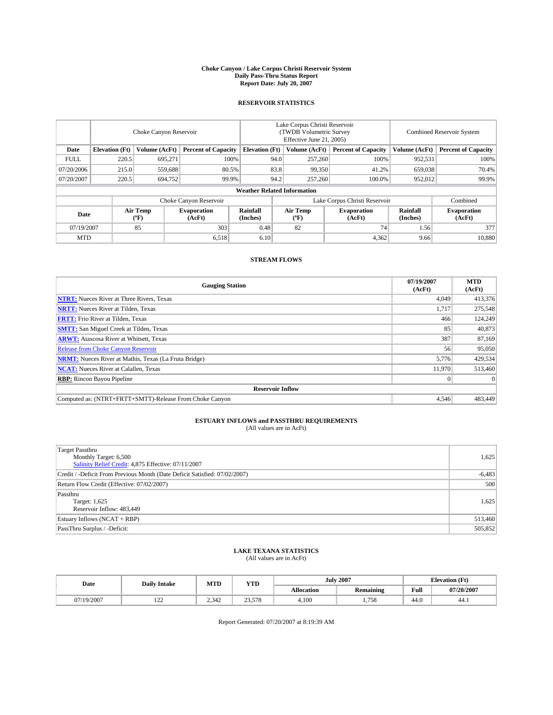#### **Choke Canyon / Lake Corpus Christi Reservoir System Daily Pass-Thru Status Report Report Date: July 20, 2007**

### **RESERVOIR STATISTICS**

|             | Choke Canyon Reservoir |                  |                              |                                    | Lake Corpus Christi Reservoir<br>(TWDB Volumetric Survey<br>Effective June 21, 2005) |                  |                               | Combined Reservoir System |                              |  |
|-------------|------------------------|------------------|------------------------------|------------------------------------|--------------------------------------------------------------------------------------|------------------|-------------------------------|---------------------------|------------------------------|--|
| Date        | <b>Elevation</b> (Ft)  | Volume (AcFt)    | <b>Percent of Capacity</b>   | <b>Elevation</b> (Ft)              |                                                                                      | Volume (AcFt)    | <b>Percent of Capacity</b>    | Volume (AcFt)             | <b>Percent of Capacity</b>   |  |
| <b>FULL</b> | 220.5                  | 695.271          | 100%                         |                                    | 94.0                                                                                 | 257,260          | 100%                          | 952,531                   | 100%                         |  |
| 07/20/2006  | 215.0                  | 559.688          | 80.5%                        |                                    | 83.8                                                                                 | 99,350           | 41.2%                         | 659,038                   | 70.4%                        |  |
| 07/20/2007  | 220.5                  | 694,752          | 99.9%                        |                                    | 94.2                                                                                 | 257,260          | 100.0%                        | 952,012                   | 99.9%                        |  |
|             |                        |                  |                              | <b>Weather Related Information</b> |                                                                                      |                  |                               |                           |                              |  |
|             |                        |                  | Choke Canyon Reservoir       |                                    |                                                                                      |                  | Lake Corpus Christi Reservoir |                           | Combined                     |  |
| Date        |                        | Air Temp<br>(°F) | <b>Evaporation</b><br>(AcFt) | Rainfall<br>(Inches)               |                                                                                      | Air Temp<br>("F) | <b>Evaporation</b><br>(AcFt)  | Rainfall<br>(Inches)      | <b>Evaporation</b><br>(AcFt) |  |
| 07/19/2007  |                        | 85               | 303                          | 0.48                               |                                                                                      | 82               | 74 <sub>1</sub>               | 1.56                      | 377                          |  |
| <b>MTD</b>  |                        |                  | 6,518                        | 6.10                               |                                                                                      |                  | 4,362                         | 9.66                      | 10,880                       |  |

## **STREAM FLOWS**

| <b>Gauging Station</b>                                       | 07/19/2007<br>(AcFt) | <b>MTD</b><br>(AcFt) |
|--------------------------------------------------------------|----------------------|----------------------|
| <b>NTRT:</b> Nueces River at Three Rivers, Texas             | 4,049                | 413,376              |
| <b>NRTT:</b> Nueces River at Tilden, Texas                   | 1.717                | 275,548              |
| <b>FRTT:</b> Frio River at Tilden, Texas                     | 466                  | 124,249              |
| <b>SMTT:</b> San Miguel Creek at Tilden, Texas               | 85                   | 40,873               |
| <b>ARWT:</b> Atascosa River at Whitsett, Texas               | 387                  | 87,169               |
| <b>Release from Choke Canyon Reservoir</b>                   | 56                   | 95,050               |
| <b>NRMT:</b> Nueces River at Mathis, Texas (La Fruta Bridge) | 5,776                | 429,534              |
| <b>NCAT:</b> Nueces River at Calallen, Texas                 | 11,970               | 513,460              |
| <b>RBP:</b> Rincon Bayou Pipeline                            | $\mathbf{0}$         | $\Omega$             |
| <b>Reservoir Inflow</b>                                      |                      |                      |
| Computed as: (NTRT+FRTT+SMTT)-Release From Choke Canyon      | 4.546                | 483,449              |

# **ESTUARY INFLOWS and PASSTHRU REQUIREMENTS**<br>(All values are in AcFt)

| <b>Target Passthru</b><br>Monthly Target: 6,500<br>Salinity Relief Credit: 4,875 Effective: 07/11/2007 | 1,625    |
|--------------------------------------------------------------------------------------------------------|----------|
| Credit / -Deficit From Previous Month (Date Deficit Satisfied: 07/02/2007)                             | $-6,483$ |
| Return Flow Credit (Effective: 07/02/2007)                                                             | 500      |
| Passthru<br>Target: 1,625<br>Reservoir Inflow: 483,449                                                 | 1,625    |
| Estuary Inflows (NCAT + RBP)                                                                           | 513,460  |
| PassThru Surplus / -Deficit:                                                                           | 505,852  |

## **LAKE TEXANA STATISTICS** (All values are in AcFt)

| Date       | <b>Daily Intake</b> | MTD   | <b>YTD</b> |                   | <b>July 2007</b> | <b>Elevation</b> (Ft) |            |
|------------|---------------------|-------|------------|-------------------|------------------|-----------------------|------------|
|            |                     |       |            | <b>Allocation</b> | <b>Remaining</b> | Full                  | 07/20/2007 |
| 07/19/2007 | $\sim$<br>$-1$      | 2.342 | 23.578     | 4.100             | 750<br>790<br>   | 44.0                  | 44.1       |

Report Generated: 07/20/2007 at 8:19:39 AM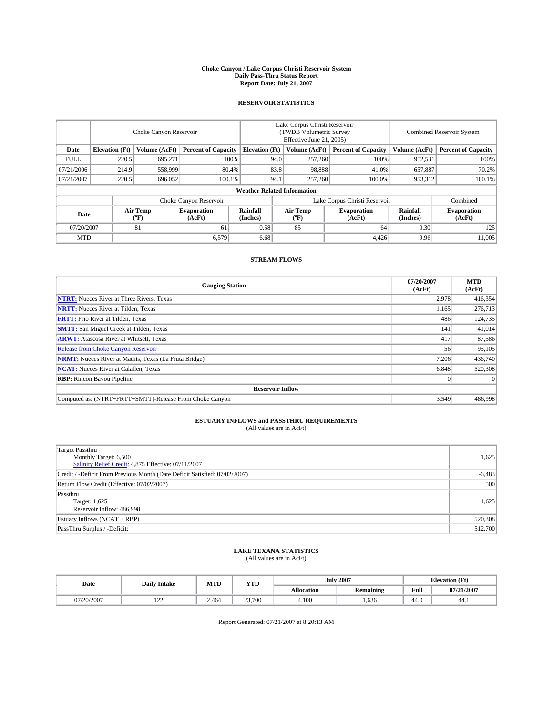#### **Choke Canyon / Lake Corpus Christi Reservoir System Daily Pass-Thru Status Report Report Date: July 21, 2007**

### **RESERVOIR STATISTICS**

|             | Choke Canyon Reservoir |                  |                              |                                                     | Lake Corpus Christi Reservoir<br>(TWDB Volumetric Survey<br>Effective June 21, 2005) |                                           |                               | Combined Reservoir System |                              |  |
|-------------|------------------------|------------------|------------------------------|-----------------------------------------------------|--------------------------------------------------------------------------------------|-------------------------------------------|-------------------------------|---------------------------|------------------------------|--|
| Date        | <b>Elevation</b> (Ft)  | Volume (AcFt)    |                              | <b>Percent of Capacity</b><br><b>Elevation</b> (Ft) |                                                                                      | Volume (AcFt)                             | <b>Percent of Capacity</b>    | Volume (AcFt)             | <b>Percent of Capacity</b>   |  |
| <b>FULL</b> | 220.5                  | 695.271          |                              | 100%                                                | 94.0                                                                                 | 257,260                                   | 100%                          | 952,531                   | 100%                         |  |
| 07/21/2006  | 214.9                  | 558,999          | 80.4%                        |                                                     | 83.8                                                                                 | 98.888                                    | 41.0%                         | 657,887                   | 70.2%                        |  |
| 07/21/2007  | 220.5                  | 696,052          | 100.1%                       |                                                     | 94.1                                                                                 | 257,260                                   | 100.0%                        | 953,312                   | 100.1%                       |  |
|             |                        |                  |                              | <b>Weather Related Information</b>                  |                                                                                      |                                           |                               |                           |                              |  |
|             |                        |                  | Choke Canyon Reservoir       |                                                     |                                                                                      |                                           | Lake Corpus Christi Reservoir |                           | Combined                     |  |
| Date        |                        | Air Temp<br>(°F) | <b>Evaporation</b><br>(AcFt) | <b>Rainfall</b><br>(Inches)                         |                                                                                      | Air Temp<br>$({}^{\mathrm{o}}\mathrm{F})$ | <b>Evaporation</b><br>(AcFt)  | Rainfall<br>(Inches)      | <b>Evaporation</b><br>(AcFt) |  |
| 07/20/2007  |                        | 81               | 61                           | 0.58                                                |                                                                                      | 85                                        | 64                            | 0.30                      | 125                          |  |
| <b>MTD</b>  |                        |                  | 6.579                        | 6.68                                                |                                                                                      |                                           | 4,426                         | 9.96                      | 11,005                       |  |

## **STREAM FLOWS**

| <b>Gauging Station</b>                                       | 07/20/2007<br>(AcFt) | <b>MTD</b><br>(AcFt) |
|--------------------------------------------------------------|----------------------|----------------------|
| <b>NTRT:</b> Nueces River at Three Rivers, Texas             | 2,978                | 416,354              |
| <b>NRTT:</b> Nueces River at Tilden, Texas                   | 1.165                | 276,713              |
| <b>FRTT:</b> Frio River at Tilden, Texas                     | 486                  | 124,735              |
| <b>SMTT:</b> San Miguel Creek at Tilden, Texas               | 141                  | 41,014               |
| <b>ARWT:</b> Atascosa River at Whitsett, Texas               | 417                  | 87,586               |
| <b>Release from Choke Canyon Reservoir</b>                   | 56                   | 95,105               |
| <b>NRMT:</b> Nueces River at Mathis, Texas (La Fruta Bridge) | 7.206                | 436,740              |
| <b>NCAT:</b> Nueces River at Calallen, Texas                 | 6,848                | 520,308              |
| <b>RBP:</b> Rincon Bayou Pipeline                            | $\mathbf{0}$         | $\Omega$             |
| <b>Reservoir Inflow</b>                                      |                      |                      |
| Computed as: (NTRT+FRTT+SMTT)-Release From Choke Canyon      | 3.549                | 486,998              |

# **ESTUARY INFLOWS and PASSTHRU REQUIREMENTS**<br>(All values are in AcFt)

| Target Passthru<br>Monthly Target: 6,500<br>Salinity Relief Credit: 4,875 Effective: 07/11/2007 | 1,625    |
|-------------------------------------------------------------------------------------------------|----------|
| Credit / -Deficit From Previous Month (Date Deficit Satisfied: 07/02/2007)                      | $-6,483$ |
| Return Flow Credit (Effective: 07/02/2007)                                                      | 500      |
| Passthru<br>Target: 1,625<br>Reservoir Inflow: 486,998                                          | 1,625    |
| Estuary Inflows (NCAT + RBP)                                                                    | 520,308  |
| PassThru Surplus / -Deficit:                                                                    | 512,700  |

## **LAKE TEXANA STATISTICS** (All values are in AcFt)

| Date       | <b>Daily Intake</b> | MTD   | <b>YTD</b> |                   | <b>July 2007</b> |      | <b>Elevation</b> (Ft) |  |
|------------|---------------------|-------|------------|-------------------|------------------|------|-----------------------|--|
|            |                     |       |            | <b>Allocation</b> | <b>Remaining</b> | Full | 07/21/2007            |  |
| 07/20/2007 | $\sim$<br>$-1$      | 2.464 | 23,700     | 4.100             | .636             | 44.0 | 44.1                  |  |

Report Generated: 07/21/2007 at 8:20:13 AM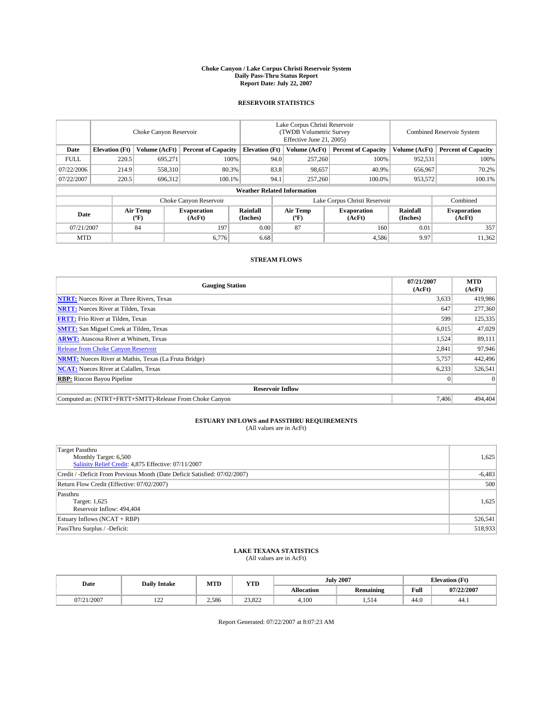#### **Choke Canyon / Lake Corpus Christi Reservoir System Daily Pass-Thru Status Report Report Date: July 22, 2007**

### **RESERVOIR STATISTICS**

|             | Choke Canyon Reservoir             |                  |                              |                       | Lake Corpus Christi Reservoir<br>(TWDB Volumetric Survey<br>Effective June 21, 2005) |                  |                               | Combined Reservoir System |                              |  |
|-------------|------------------------------------|------------------|------------------------------|-----------------------|--------------------------------------------------------------------------------------|------------------|-------------------------------|---------------------------|------------------------------|--|
| Date        | <b>Elevation</b> (Ft)              | Volume (AcFt)    | <b>Percent of Capacity</b>   | <b>Elevation</b> (Ft) |                                                                                      | Volume (AcFt)    | <b>Percent of Capacity</b>    | Volume (AcFt)             | <b>Percent of Capacity</b>   |  |
| <b>FULL</b> | 220.5                              | 695,271          | 100%                         |                       | 94.0                                                                                 | 257,260          | 100%                          | 952,531                   | 100%                         |  |
| 07/22/2006  | 214.9                              | 558,310          | 80.3%                        |                       | 83.8                                                                                 | 98,657           | 40.9%                         | 656,967                   | 70.2%                        |  |
| 07/22/2007  | 220.5                              | 696,312          | 100.1%                       |                       | 94.1                                                                                 | 257,260          | 100.0%                        | 953,572                   | 100.1%                       |  |
|             | <b>Weather Related Information</b> |                  |                              |                       |                                                                                      |                  |                               |                           |                              |  |
|             |                                    |                  | Choke Canyon Reservoir       |                       |                                                                                      |                  | Lake Corpus Christi Reservoir |                           | Combined                     |  |
| Date        |                                    | Air Temp<br>(°F) | <b>Evaporation</b><br>(AcFt) | Rainfall<br>(Inches)  |                                                                                      | Air Temp<br>("F) | <b>Evaporation</b><br>(AcFt)  | Rainfall<br>(Inches)      | <b>Evaporation</b><br>(AcFt) |  |
| 07/21/2007  |                                    | 84               | 197                          | 0.00                  |                                                                                      | 87               | 160                           | 0.01                      | 357                          |  |
| <b>MTD</b>  |                                    |                  | 6,776                        | 6.68                  |                                                                                      |                  | 4,586                         | 9.97                      | 11,362                       |  |

## **STREAM FLOWS**

| <b>Gauging Station</b>                                       | 07/21/2007<br>(AcFt) | <b>MTD</b><br>(AcFt) |
|--------------------------------------------------------------|----------------------|----------------------|
| <b>NTRT:</b> Nueces River at Three Rivers, Texas             | 3,633                | 419,986              |
| <b>NRTT:</b> Nueces River at Tilden, Texas                   | 647                  | 277,360              |
| <b>FRTT:</b> Frio River at Tilden, Texas                     | 599                  | 125,335              |
| <b>SMTT:</b> San Miguel Creek at Tilden, Texas               | 6,015                | 47,029               |
| <b>ARWT:</b> Atascosa River at Whitsett, Texas               | 1,524                | 89,111               |
| <b>Release from Choke Canyon Reservoir</b>                   | 2,841                | 97,946               |
| <b>NRMT:</b> Nueces River at Mathis, Texas (La Fruta Bridge) | 5,757                | 442,496              |
| <b>NCAT:</b> Nueces River at Calallen, Texas                 | 6,233                | 526,541              |
| <b>RBP:</b> Rincon Bayou Pipeline                            | $\mathbf{0}$         | $\Omega$             |
| <b>Reservoir Inflow</b>                                      |                      |                      |
| Computed as: (NTRT+FRTT+SMTT)-Release From Choke Canyon      | 7.406                | 494,404              |

# **ESTUARY INFLOWS and PASSTHRU REQUIREMENTS**<br>(All values are in AcFt)

| <b>Target Passthru</b><br>Monthly Target: 6,500<br>Salinity Relief Credit: 4,875 Effective: 07/11/2007 | 1,625    |
|--------------------------------------------------------------------------------------------------------|----------|
| Credit / -Deficit From Previous Month (Date Deficit Satisfied: 07/02/2007)                             | $-6,483$ |
| Return Flow Credit (Effective: 07/02/2007)                                                             | 500      |
| Passthru<br>Target: 1,625<br>Reservoir Inflow: 494,404                                                 | 1,625    |
| Estuary Inflows (NCAT + RBP)                                                                           | 526,541  |
| PassThru Surplus / -Deficit:                                                                           | 518,933  |

## **LAKE TEXANA STATISTICS** (All values are in AcFt)

| Date    | <b>Daily Intake</b> | MTD   | <b>YTD</b>     |                   | <b>July 2007</b> | <b>Elevation</b> (Ft) |            |
|---------|---------------------|-------|----------------|-------------------|------------------|-----------------------|------------|
|         |                     |       |                | <b>Allocation</b> | <b>Remaining</b> | Full                  | 07/22/2007 |
| 21/2007 | $\sim$<br>$-1$      | 2.586 | 2292<br>23.022 | 4.100             | -<br>1.J 17      | 44.0                  | 44.1       |

Report Generated: 07/22/2007 at 8:07:23 AM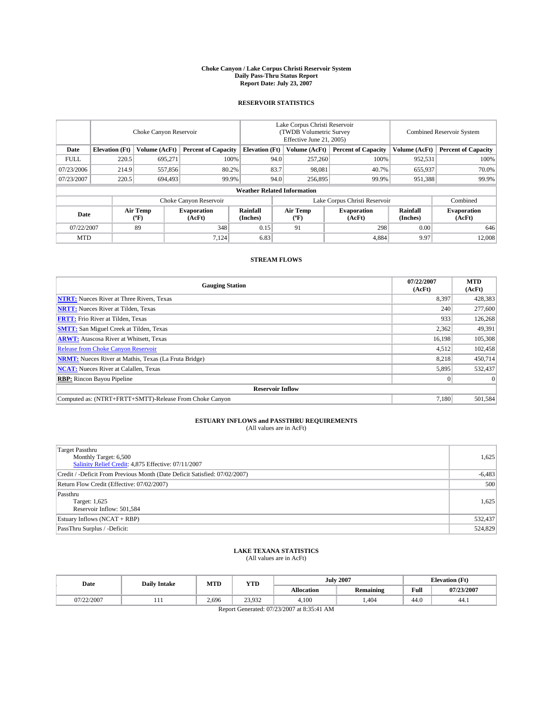#### **Choke Canyon / Lake Corpus Christi Reservoir System Daily Pass-Thru Status Report Report Date: July 23, 2007**

### **RESERVOIR STATISTICS**

|             | Choke Canyon Reservoir             |                  |                              |                             | Lake Corpus Christi Reservoir<br>(TWDB Volumetric Survey<br>Effective June 21, 2005) |                  |                               | <b>Combined Reservoir System</b> |                              |  |
|-------------|------------------------------------|------------------|------------------------------|-----------------------------|--------------------------------------------------------------------------------------|------------------|-------------------------------|----------------------------------|------------------------------|--|
| Date        | <b>Elevation</b> (Ft)              | Volume (AcFt)    | <b>Percent of Capacity</b>   | <b>Elevation</b> (Ft)       |                                                                                      | Volume (AcFt)    | <b>Percent of Capacity</b>    | Volume (AcFt)                    | <b>Percent of Capacity</b>   |  |
| <b>FULL</b> | 220.5                              | 695.271          |                              | 100%                        | 94.0                                                                                 | 257,260          | 100%                          | 952,531                          | 100%                         |  |
| 07/23/2006  | 214.9                              | 557,856          |                              | 80.2%                       | 83.7                                                                                 | 98.081           | 40.7%                         | 655,937                          | 70.0%                        |  |
| 07/23/2007  | 220.5                              | 694,493          |                              | 99.9%                       | 94.0                                                                                 | 256,895          | 99.9%                         | 951,388                          | 99.9%                        |  |
|             | <b>Weather Related Information</b> |                  |                              |                             |                                                                                      |                  |                               |                                  |                              |  |
|             |                                    |                  | Choke Canyon Reservoir       |                             |                                                                                      |                  | Lake Corpus Christi Reservoir |                                  | Combined                     |  |
| Date        |                                    | Air Temp<br>(°F) | <b>Evaporation</b><br>(AcFt) | <b>Rainfall</b><br>(Inches) |                                                                                      | Air Temp<br>("F) | <b>Evaporation</b><br>(AcFt)  | Rainfall<br>(Inches)             | <b>Evaporation</b><br>(AcFt) |  |
| 07/22/2007  |                                    | 89               | 348                          | 0.15                        |                                                                                      | 91               | 298                           | 0.00                             | 646                          |  |
| <b>MTD</b>  |                                    |                  | 7,124                        | 6.83                        |                                                                                      |                  | 4,884                         | 9.97                             | 12,008                       |  |

## **STREAM FLOWS**

| <b>Gauging Station</b>                                       | 07/22/2007<br>(AcFt) | <b>MTD</b><br>(AcFt) |
|--------------------------------------------------------------|----------------------|----------------------|
| <b>NTRT:</b> Nueces River at Three Rivers, Texas             | 8,397                | 428,383              |
| <b>NRTT:</b> Nueces River at Tilden, Texas                   | 240                  | 277,600              |
| <b>FRTT:</b> Frio River at Tilden, Texas                     | 933                  | 126,268              |
| <b>SMTT:</b> San Miguel Creek at Tilden, Texas               | 2,362                | 49,391               |
| <b>ARWT:</b> Atascosa River at Whitsett, Texas               | 16,198               | 105,308              |
| <b>Release from Choke Canyon Reservoir</b>                   | 4,512                | 102,458              |
| <b>NRMT:</b> Nueces River at Mathis, Texas (La Fruta Bridge) | 8,218                | 450,714              |
| <b>NCAT:</b> Nueces River at Calallen, Texas                 | 5,895                | 532,437              |
| <b>RBP:</b> Rincon Bayou Pipeline                            | $\mathbf{0}$         | $\Omega$             |
| <b>Reservoir Inflow</b>                                      |                      |                      |
| Computed as: (NTRT+FRTT+SMTT)-Release From Choke Canyon      | 7.180                | 501.584              |

## **ESTUARY INFLOWS and PASSTHRU REQUIREMENTS**<br>(All values are in AcFt)

| <b>Target Passthru</b><br>Monthly Target: 6,500<br>Salinity Relief Credit: 4,875 Effective: 07/11/2007 | 1,625    |
|--------------------------------------------------------------------------------------------------------|----------|
| Credit / -Deficit From Previous Month (Date Deficit Satisfied: 07/02/2007)                             | $-6,483$ |
| Return Flow Credit (Effective: 07/02/2007)                                                             | 500      |
| Passthru<br>Target: 1,625<br>Reservoir Inflow: 501,584                                                 | 1,625    |
| Estuary Inflows (NCAT + RBP)                                                                           | 532,437  |
| PassThru Surplus / -Deficit:                                                                           | 524,829  |

## **LAKE TEXANA STATISTICS** (All values are in AcFt)

| Date       | <b>Daily Intake</b> | MTD   | YTD    |                   | <b>July 2007</b> |      | <b>Elevation</b> (Ft) |  |
|------------|---------------------|-------|--------|-------------------|------------------|------|-----------------------|--|
|            |                     |       |        | <b>Allocation</b> | <b>Remaining</b> | Full | 07/23/2007            |  |
| 07/22/2007 |                     | 2,696 | 23,932 | 4,100             | ,404             | 44.0 | 44.1                  |  |
| __         |                     |       |        |                   |                  |      |                       |  |

Report Generated: 07/23/2007 at 8:35:41 AM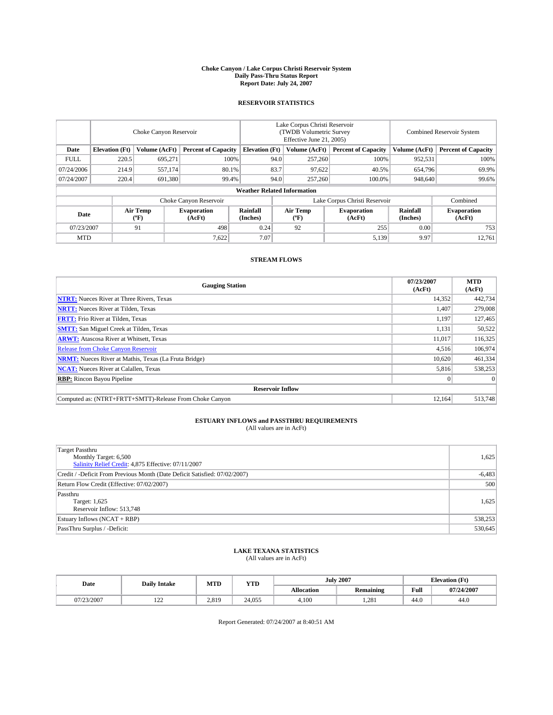#### **Choke Canyon / Lake Corpus Christi Reservoir System Daily Pass-Thru Status Report Report Date: July 24, 2007**

### **RESERVOIR STATISTICS**

|             | Choke Canyon Reservoir             |                  |                              |                       | Lake Corpus Christi Reservoir<br>(TWDB Volumetric Survey<br>Effective June 21, 2005) |                  |                               | Combined Reservoir System |                              |  |
|-------------|------------------------------------|------------------|------------------------------|-----------------------|--------------------------------------------------------------------------------------|------------------|-------------------------------|---------------------------|------------------------------|--|
| Date        | <b>Elevation</b> (Ft)              | Volume (AcFt)    | <b>Percent of Capacity</b>   | <b>Elevation</b> (Ft) |                                                                                      | Volume (AcFt)    | <b>Percent of Capacity</b>    | Volume (AcFt)             | <b>Percent of Capacity</b>   |  |
| <b>FULL</b> | 220.5                              | 695,271          | 100%                         |                       | 94.0                                                                                 | 257,260          | 100%                          | 952,531                   | 100%                         |  |
| 07/24/2006  | 214.9                              | 557,174          | 80.1%                        |                       | 83.7                                                                                 | 97,622           | 40.5%                         | 654,796                   | 69.9%                        |  |
| 07/24/2007  | 220.4                              | 691,380          | 99.4%                        |                       | 94.0                                                                                 | 257,260          | 100.0%                        | 948,640                   | 99.6%                        |  |
|             | <b>Weather Related Information</b> |                  |                              |                       |                                                                                      |                  |                               |                           |                              |  |
|             |                                    |                  | Choke Canyon Reservoir       |                       |                                                                                      |                  | Lake Corpus Christi Reservoir |                           | Combined                     |  |
| Date        |                                    | Air Temp<br>(°F) | <b>Evaporation</b><br>(AcFt) | Rainfall<br>(Inches)  |                                                                                      | Air Temp<br>("F) | <b>Evaporation</b><br>(AcFt)  | Rainfall<br>(Inches)      | <b>Evaporation</b><br>(AcFt) |  |
| 07/23/2007  |                                    | 91               | 498                          | 0.24                  |                                                                                      | 92               | 255                           | 0.00                      | 753                          |  |
| <b>MTD</b>  |                                    |                  | 7,622                        | 7.07                  |                                                                                      |                  | 5,139                         | 9.97                      | 12,761                       |  |

## **STREAM FLOWS**

| <b>Gauging Station</b>                                       | 07/23/2007<br>(AcFt) | <b>MTD</b><br>(AcFt) |
|--------------------------------------------------------------|----------------------|----------------------|
| <b>NTRT:</b> Nueces River at Three Rivers, Texas             | 14,352               | 442,734              |
| <b>NRTT:</b> Nueces River at Tilden, Texas                   | 1.407                | 279,008              |
| <b>FRTT:</b> Frio River at Tilden, Texas                     | 1,197                | 127,465              |
| <b>SMTT:</b> San Miguel Creek at Tilden, Texas               | 1,131                | 50,522               |
| <b>ARWT:</b> Atascosa River at Whitsett, Texas               | 11,017               | 116,325              |
| <b>Release from Choke Canyon Reservoir</b>                   | 4,516                | 106,974              |
| <b>NRMT:</b> Nueces River at Mathis, Texas (La Fruta Bridge) | 10.620               | 461,334              |
| <b>NCAT:</b> Nueces River at Calallen, Texas                 | 5,816                | 538,253              |
| <b>RBP:</b> Rincon Bayou Pipeline                            | $\mathbf{0}$         | $\Omega$             |
| <b>Reservoir Inflow</b>                                      |                      |                      |
| Computed as: (NTRT+FRTT+SMTT)-Release From Choke Canyon      | 12.164               | 513,748              |

# **ESTUARY INFLOWS and PASSTHRU REQUIREMENTS**<br>(All values are in AcFt)

| <b>Target Passthru</b><br>Monthly Target: 6,500<br>Salinity Relief Credit: 4,875 Effective: 07/11/2007 | 1,625    |
|--------------------------------------------------------------------------------------------------------|----------|
| Credit / -Deficit From Previous Month (Date Deficit Satisfied: 07/02/2007)                             | $-6,483$ |
| Return Flow Credit (Effective: 07/02/2007)                                                             | 500      |
| Passthru<br>Target: 1,625<br>Reservoir Inflow: 513,748                                                 | 1,625    |
| Estuary Inflows (NCAT + RBP)                                                                           | 538,253  |
| PassThru Surplus / -Deficit:                                                                           | 530,645  |

## **LAKE TEXANA STATISTICS** (All values are in AcFt)

| Date      | <b>Daily Intake</b> | MTD   | <b>YTD</b> |                   | <b>July 2007</b> |      | <b>Elevation</b> (Ft) |
|-----------|---------------------|-------|------------|-------------------|------------------|------|-----------------------|
|           |                     |       |            | <b>Allocation</b> | <b>Remaining</b> | Full | 07/24/2007            |
| //23/2007 | $\sim$<br>$-1$      | 2.819 | 24.055     | 4.100             | 1.281            | 44.0 | 44.0                  |

Report Generated: 07/24/2007 at 8:40:51 AM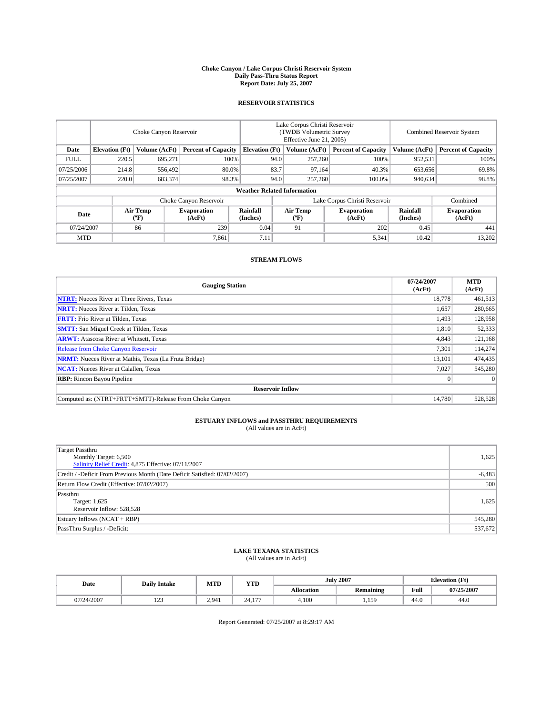#### **Choke Canyon / Lake Corpus Christi Reservoir System Daily Pass-Thru Status Report Report Date: July 25, 2007**

### **RESERVOIR STATISTICS**

|             | Choke Canyon Reservoir             |                  |                              |                       | Lake Corpus Christi Reservoir<br>(TWDB Volumetric Survey<br>Effective June 21, 2005) |                  |                               |                      | Combined Reservoir System    |  |  |
|-------------|------------------------------------|------------------|------------------------------|-----------------------|--------------------------------------------------------------------------------------|------------------|-------------------------------|----------------------|------------------------------|--|--|
| Date        | <b>Elevation</b> (Ft)              | Volume (AcFt)    | <b>Percent of Capacity</b>   | <b>Elevation</b> (Ft) |                                                                                      | Volume (AcFt)    | <b>Percent of Capacity</b>    | Volume (AcFt)        | <b>Percent of Capacity</b>   |  |  |
| <b>FULL</b> | 220.5                              | 695,271          | 100%                         |                       | 94.0                                                                                 | 257,260          | 100%                          | 952,531              | 100%                         |  |  |
| 07/25/2006  | 214.8                              | 556,492          | 80.0%                        |                       | 83.7                                                                                 | 97,164           | 40.3%                         | 653,656              | 69.8%                        |  |  |
| 07/25/2007  | 220.0                              | 683,374          | 98.3%                        |                       | 94.0                                                                                 | 257,260          | 100.0%                        | 940,634              | 98.8%                        |  |  |
|             | <b>Weather Related Information</b> |                  |                              |                       |                                                                                      |                  |                               |                      |                              |  |  |
|             |                                    |                  | Choke Canyon Reservoir       |                       |                                                                                      |                  | Lake Corpus Christi Reservoir |                      | Combined                     |  |  |
| Date        |                                    | Air Temp<br>(°F) | <b>Evaporation</b><br>(AcFt) | Rainfall<br>(Inches)  |                                                                                      | Air Temp<br>("F) | <b>Evaporation</b><br>(AcFt)  | Rainfall<br>(Inches) | <b>Evaporation</b><br>(AcFt) |  |  |
| 07/24/2007  |                                    | 86               | 239                          | 0.04                  |                                                                                      | 91               | 202                           | 0.45                 | 441                          |  |  |
| <b>MTD</b>  |                                    |                  | 7,861                        | 7.11                  |                                                                                      |                  | 5,341                         | 10.42                | 13,202                       |  |  |

## **STREAM FLOWS**

| <b>Gauging Station</b>                                       | 07/24/2007<br>(AcFt) | <b>MTD</b><br>(AcFt) |
|--------------------------------------------------------------|----------------------|----------------------|
| <b>NTRT:</b> Nueces River at Three Rivers, Texas             | 18,778               | 461,513              |
| <b>NRTT:</b> Nueces River at Tilden, Texas                   | 1.657                | 280,665              |
| <b>FRTT:</b> Frio River at Tilden, Texas                     | 1,493                | 128,958              |
| <b>SMTT:</b> San Miguel Creek at Tilden, Texas               | 1,810                | 52,333               |
| <b>ARWT:</b> Atascosa River at Whitsett, Texas               | 4,843                | 121,168              |
| <b>Release from Choke Canyon Reservoir</b>                   | 7,301                | 114,274              |
| <b>NRMT:</b> Nueces River at Mathis, Texas (La Fruta Bridge) | 13,101               | 474,435              |
| <b>NCAT:</b> Nueces River at Calallen, Texas                 | 7,027                | 545,280              |
| <b>RBP:</b> Rincon Bayou Pipeline                            | $\mathbf{0}$         | $\Omega$             |
| <b>Reservoir Inflow</b>                                      |                      |                      |
| Computed as: (NTRT+FRTT+SMTT)-Release From Choke Canyon      | 14.780               | 528,528              |

# **ESTUARY INFLOWS and PASSTHRU REQUIREMENTS**<br>(All values are in AcFt)

| <b>Target Passthru</b><br>Monthly Target: 6,500<br>Salinity Relief Credit: 4,875 Effective: 07/11/2007 | 1,625    |
|--------------------------------------------------------------------------------------------------------|----------|
| Credit / -Deficit From Previous Month (Date Deficit Satisfied: 07/02/2007)                             | $-6,483$ |
| Return Flow Credit (Effective: 07/02/2007)                                                             | 500      |
| Passthru<br>Target: 1,625<br>Reservoir Inflow: 528,528                                                 | 1,625    |
| Estuary Inflows (NCAT + RBP)                                                                           | 545,280  |
| PassThru Surplus / -Deficit:                                                                           | 537,672  |

## **LAKE TEXANA STATISTICS** (All values are in AcFt)

| Date       | <b>Daily Intake</b> | MTD   | <b>YTD</b>      |                   | <b>July 2007</b> | <b>Elevation</b> (Ft) |            |
|------------|---------------------|-------|-----------------|-------------------|------------------|-----------------------|------------|
|            |                     |       |                 | <b>Allocation</b> | <b>Remaining</b> | Full                  | 07/25/2007 |
| 07/24/2007 | 100<br>رے 1         | 2.941 | $\sim$<br>24.17 | 4,100             | 150<br>.         | 44.0                  | 44.0       |

Report Generated: 07/25/2007 at 8:29:17 AM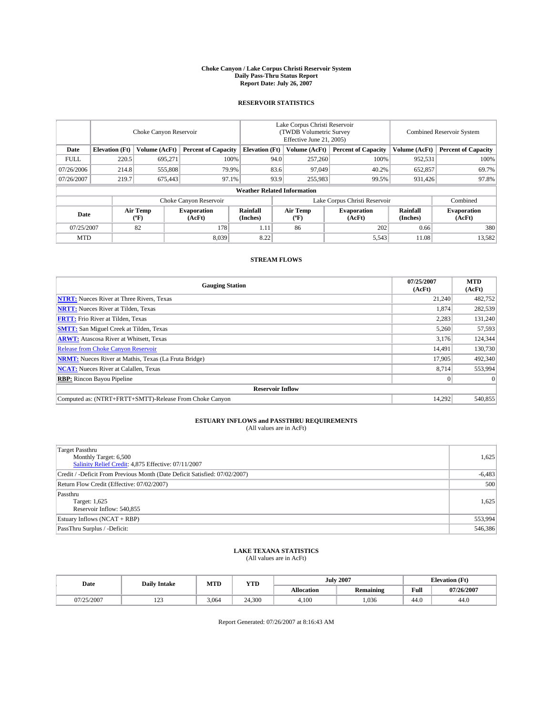#### **Choke Canyon / Lake Corpus Christi Reservoir System Daily Pass-Thru Status Report Report Date: July 26, 2007**

### **RESERVOIR STATISTICS**

|             | Choke Canyon Reservoir |                         |                              |                                    | Lake Corpus Christi Reservoir<br>(TWDB Volumetric Survey<br>Effective June 21, 2005) |                  |                               | Combined Reservoir System |                              |  |
|-------------|------------------------|-------------------------|------------------------------|------------------------------------|--------------------------------------------------------------------------------------|------------------|-------------------------------|---------------------------|------------------------------|--|
| Date        | <b>Elevation</b> (Ft)  | Volume (AcFt)           | <b>Percent of Capacity</b>   | <b>Elevation</b> (Ft)              |                                                                                      | Volume (AcFt)    | <b>Percent of Capacity</b>    | Volume (AcFt)             | <b>Percent of Capacity</b>   |  |
| <b>FULL</b> | 220.5                  | 695.271                 |                              | 100%                               | 94.0                                                                                 | 257,260          | 100%                          | 952,531                   | 100%                         |  |
| 07/26/2006  | 214.8                  | 555,808                 | 79.9%                        |                                    | 83.6                                                                                 | 97,049           | 40.2%                         | 652,857                   | 69.7%                        |  |
| 07/26/2007  | 219.7                  | 675,443                 | 97.1%                        |                                    | 93.9                                                                                 | 255,983          | 99.5%                         | 931,426                   | 97.8%                        |  |
|             |                        |                         |                              | <b>Weather Related Information</b> |                                                                                      |                  |                               |                           |                              |  |
|             |                        |                         | Choke Canyon Reservoir       |                                    |                                                                                      |                  | Lake Corpus Christi Reservoir |                           | Combined                     |  |
| Date        |                        | <b>Air Temp</b><br>(°F) | <b>Evaporation</b><br>(AcFt) | Rainfall<br>(Inches)               |                                                                                      | Air Temp<br>("F) | <b>Evaporation</b><br>(AcFt)  | Rainfall<br>(Inches)      | <b>Evaporation</b><br>(AcFt) |  |
| 07/25/2007  |                        | 82                      | 178                          | 1.11                               |                                                                                      | 86               | 202                           | 0.66                      | 380                          |  |
| <b>MTD</b>  |                        |                         | 8,039                        | 8.22                               |                                                                                      |                  | 5,543                         | 11.08                     | 13,582                       |  |

## **STREAM FLOWS**

| <b>Gauging Station</b>                                       | 07/25/2007<br>(AcFt) | <b>MTD</b><br>(AcFt) |
|--------------------------------------------------------------|----------------------|----------------------|
| <b>NTRT:</b> Nueces River at Three Rivers, Texas             | 21.240               | 482,752              |
| <b>NRTT:</b> Nueces River at Tilden, Texas                   | 1.874                | 282,539              |
| <b>FRTT:</b> Frio River at Tilden, Texas                     | 2,283                | 131,240              |
| <b>SMTT:</b> San Miguel Creek at Tilden, Texas               | 5,260                | 57,593               |
| <b>ARWT:</b> Atascosa River at Whitsett, Texas               | 3,176                | 124,344              |
| <b>Release from Choke Canyon Reservoir</b>                   | 14.491               | 130,730              |
| <b>NRMT:</b> Nueces River at Mathis, Texas (La Fruta Bridge) | 17.905               | 492,340              |
| <b>NCAT:</b> Nueces River at Calallen, Texas                 | 8.714                | 553,994              |
| <b>RBP:</b> Rincon Bayou Pipeline                            | $\mathbf{0}$         | $\Omega$             |
| <b>Reservoir Inflow</b>                                      |                      |                      |
| Computed as: (NTRT+FRTT+SMTT)-Release From Choke Canyon      | 14.292               | 540,855              |

# **ESTUARY INFLOWS and PASSTHRU REQUIREMENTS**<br>(All values are in AcFt)

| Target Passthru<br>Monthly Target: 6,500<br>Salinity Relief Credit: 4,875 Effective: 07/11/2007 | 1,625    |
|-------------------------------------------------------------------------------------------------|----------|
| Credit / -Deficit From Previous Month (Date Deficit Satisfied: 07/02/2007)                      | $-6,483$ |
| Return Flow Credit (Effective: 07/02/2007)                                                      | 500      |
| Passthru<br>Target: 1,625<br>Reservoir Inflow: 540,855                                          | 1,625    |
| Estuary Inflows (NCAT + RBP)                                                                    | 553,994  |
| PassThru Surplus / -Deficit:                                                                    | 546,386  |

## **LAKE TEXANA STATISTICS** (All values are in AcFt)

| Date       | <b>Daily Intake</b>       | MTD   | <b>YTD</b> |                   | <b>July 2007</b> |      | <b>Elevation</b> (Ft) |
|------------|---------------------------|-------|------------|-------------------|------------------|------|-----------------------|
|            |                           |       |            | <b>Allocation</b> | <b>Remaining</b> | Full | 07/26/2007            |
| 07/25/2007 | 10 <sup>o</sup><br>ب سے ج | 3.064 | 24.300     | 4.100             | .036             | 44.0 | 44.0                  |

Report Generated: 07/26/2007 at 8:16:43 AM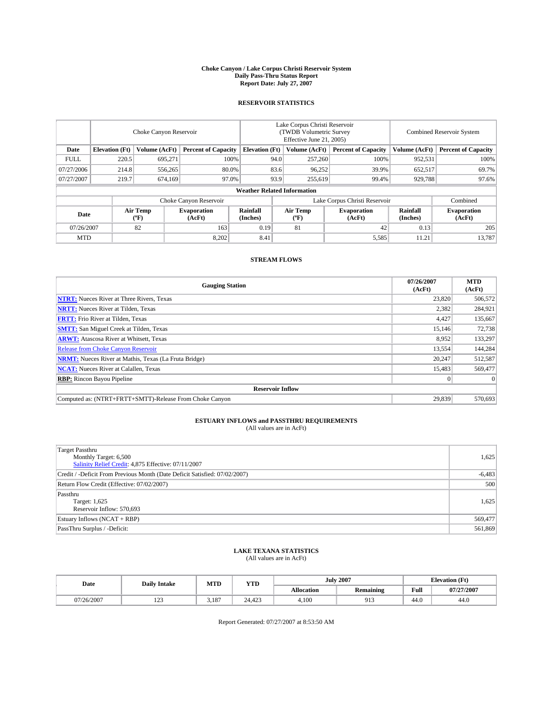#### **Choke Canyon / Lake Corpus Christi Reservoir System Daily Pass-Thru Status Report Report Date: July 27, 2007**

### **RESERVOIR STATISTICS**

|             | Choke Canyon Reservoir |                  |                              |                                    | Lake Corpus Christi Reservoir<br>(TWDB Volumetric Survey<br>Effective June 21, 2005) |                  |                               | Combined Reservoir System |                              |  |
|-------------|------------------------|------------------|------------------------------|------------------------------------|--------------------------------------------------------------------------------------|------------------|-------------------------------|---------------------------|------------------------------|--|
| Date        | <b>Elevation</b> (Ft)  | Volume (AcFt)    | <b>Percent of Capacity</b>   | <b>Elevation</b> (Ft)              |                                                                                      | Volume (AcFt)    | <b>Percent of Capacity</b>    | Volume (AcFt)             | <b>Percent of Capacity</b>   |  |
| <b>FULL</b> | 220.5                  | 695.271          |                              | 100%                               | 94.0                                                                                 | 257,260          | 100%                          | 952,531                   | 100%                         |  |
| 07/27/2006  | 214.8                  | 556,265          | 80.0%                        |                                    | 83.6                                                                                 | 96,252           | 39.9%                         | 652,517                   | 69.7%                        |  |
| 07/27/2007  | 219.7                  | 674,169          | 97.0%                        |                                    | 93.9                                                                                 | 255,619          | 99.4%                         | 929,788                   | 97.6%                        |  |
|             |                        |                  |                              | <b>Weather Related Information</b> |                                                                                      |                  |                               |                           |                              |  |
|             |                        |                  | Choke Canyon Reservoir       |                                    |                                                                                      |                  | Lake Corpus Christi Reservoir |                           | Combined                     |  |
| Date        |                        | Air Temp<br>(°F) | <b>Evaporation</b><br>(AcFt) | Rainfall<br>(Inches)               |                                                                                      | Air Temp<br>("F) | <b>Evaporation</b><br>(AcFt)  | Rainfall<br>(Inches)      | <b>Evaporation</b><br>(AcFt) |  |
| 07/26/2007  |                        | 82               | 163                          | 0.19                               |                                                                                      | 81               | 42                            | 0.13                      | 205                          |  |
| <b>MTD</b>  |                        |                  | 8,202                        | 8.41                               |                                                                                      |                  | 5,585                         | 11.21                     | 13,787                       |  |

## **STREAM FLOWS**

| <b>Gauging Station</b>                                       | 07/26/2007<br>(AcFt) | <b>MTD</b><br>(AcFt) |
|--------------------------------------------------------------|----------------------|----------------------|
| <b>NTRT:</b> Nueces River at Three Rivers, Texas             | 23,820               | 506,572              |
| <b>NRTT:</b> Nueces River at Tilden, Texas                   | 2,382                | 284,921              |
| <b>FRTT:</b> Frio River at Tilden, Texas                     | 4,427                | 135,667              |
| <b>SMTT:</b> San Miguel Creek at Tilden, Texas               | 15,146               | 72,738               |
| <b>ARWT:</b> Atascosa River at Whitsett, Texas               | 8.952                | 133,297              |
| <b>Release from Choke Canyon Reservoir</b>                   | 13,554               | 144,284              |
| <b>NRMT:</b> Nueces River at Mathis, Texas (La Fruta Bridge) | 20,247               | 512,587              |
| <b>NCAT:</b> Nueces River at Calallen, Texas                 | 15,483               | 569,477              |
| <b>RBP:</b> Rincon Bayou Pipeline                            | $\mathbf{0}$         | $\Omega$             |
| <b>Reservoir Inflow</b>                                      |                      |                      |
| Computed as: (NTRT+FRTT+SMTT)-Release From Choke Canyon      | 29.839               | 570,693              |

# **ESTUARY INFLOWS and PASSTHRU REQUIREMENTS**<br>(All values are in AcFt)

| Target Passthru<br>Monthly Target: 6,500<br>Salinity Relief Credit: 4,875 Effective: 07/11/2007 | 1,625    |
|-------------------------------------------------------------------------------------------------|----------|
| Credit / -Deficit From Previous Month (Date Deficit Satisfied: 07/02/2007)                      | $-6,483$ |
| Return Flow Credit (Effective: 07/02/2007)                                                      | 500      |
| Passthru<br>Target: 1,625<br>Reservoir Inflow: 570,693                                          | 1,625    |
| Estuary Inflows (NCAT + RBP)                                                                    | 569,477  |
| PassThru Surplus / -Deficit:                                                                    | 561,869  |

## **LAKE TEXANA STATISTICS** (All values are in AcFt)

| Date       | <b>Daily Intake</b>       | MTD   | <b>YTD</b> |                   | <b>July 2007</b>       | <b>Elevation</b> (Ft) |            |
|------------|---------------------------|-------|------------|-------------------|------------------------|-----------------------|------------|
|            |                           |       |            | <b>Allocation</b> | <b>Remaining</b>       | Full                  | 07/27/2007 |
| 07/26/2007 | 10 <sup>o</sup><br>ب سے ج | 3.187 | 24.423     | 4.100             | 01 <sup>o</sup><br>,,, | 44.0                  | 44.0       |

Report Generated: 07/27/2007 at 8:53:50 AM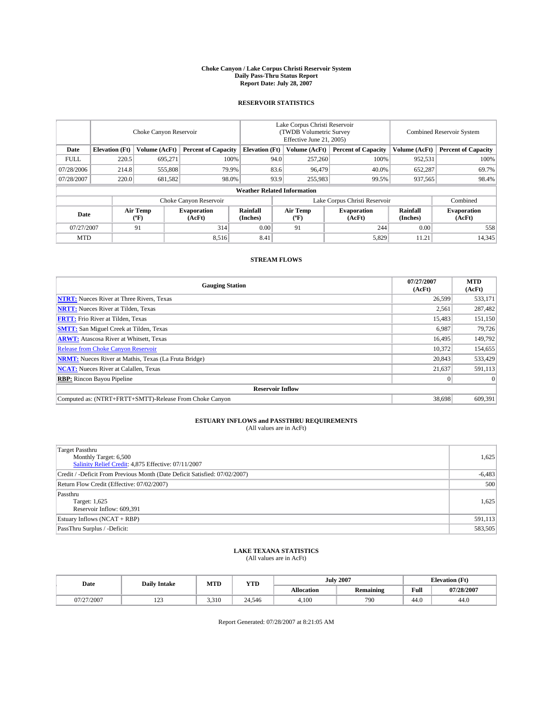#### **Choke Canyon / Lake Corpus Christi Reservoir System Daily Pass-Thru Status Report Report Date: July 28, 2007**

### **RESERVOIR STATISTICS**

|             | Choke Canyon Reservoir             |                  |                              |                       | Lake Corpus Christi Reservoir<br>(TWDB Volumetric Survey<br>Effective June 21, 2005) |                               |                              |                      | Combined Reservoir System    |  |  |
|-------------|------------------------------------|------------------|------------------------------|-----------------------|--------------------------------------------------------------------------------------|-------------------------------|------------------------------|----------------------|------------------------------|--|--|
| Date        | <b>Elevation</b> (Ft)              | Volume (AcFt)    | <b>Percent of Capacity</b>   | <b>Elevation</b> (Ft) |                                                                                      | Volume (AcFt)                 | <b>Percent of Capacity</b>   | Volume (AcFt)        | <b>Percent of Capacity</b>   |  |  |
| <b>FULL</b> | 220.5                              | 695,271          | 100%                         |                       | 94.0                                                                                 | 257,260                       | 100%                         | 952,531              | 100%                         |  |  |
| 07/28/2006  | 214.8                              | 555,808          | 79.9%                        |                       | 83.6                                                                                 | 96,479                        | 40.0%                        | 652,287              | 69.7%                        |  |  |
| 07/28/2007  | 220.0                              | 681,582          | 98.0%                        |                       | 93.9                                                                                 | 255,983                       | 99.5%                        | 937,565              | 98.4%                        |  |  |
|             | <b>Weather Related Information</b> |                  |                              |                       |                                                                                      |                               |                              |                      |                              |  |  |
|             |                                    |                  | Choke Canyon Reservoir       |                       |                                                                                      | Lake Corpus Christi Reservoir |                              |                      | Combined                     |  |  |
| Date        |                                    | Air Temp<br>(°F) | <b>Evaporation</b><br>(AcFt) | Rainfall<br>(Inches)  |                                                                                      | Air Temp<br>("F)              | <b>Evaporation</b><br>(AcFt) | Rainfall<br>(Inches) | <b>Evaporation</b><br>(AcFt) |  |  |
| 07/27/2007  |                                    | 91               | 314                          | 0.00                  |                                                                                      | 91                            | 244                          | 0.00                 | 558                          |  |  |
| <b>MTD</b>  |                                    |                  | 8,516                        | 8.41                  |                                                                                      |                               | 5,829                        | 11.21                | 14,345                       |  |  |

## **STREAM FLOWS**

| <b>Gauging Station</b>                                       | 07/27/2007<br>(AcFt) | <b>MTD</b><br>(AcFt) |
|--------------------------------------------------------------|----------------------|----------------------|
| <b>NTRT:</b> Nueces River at Three Rivers, Texas             | 26,599               | 533,171              |
| <b>NRTT:</b> Nueces River at Tilden, Texas                   | 2.561                | 287,482              |
| <b>FRTT:</b> Frio River at Tilden, Texas                     | 15,483               | 151,150              |
| <b>SMTT:</b> San Miguel Creek at Tilden, Texas               | 6,987                | 79,726               |
| <b>ARWT:</b> Atascosa River at Whitsett, Texas               | 16,495               | 149,792              |
| <b>Release from Choke Canyon Reservoir</b>                   | 10,372               | 154,655              |
| <b>NRMT:</b> Nueces River at Mathis, Texas (La Fruta Bridge) | 20,843               | 533,429              |
| <b>NCAT:</b> Nueces River at Calallen, Texas                 | 21,637               | 591,113              |
| <b>RBP:</b> Rincon Bayou Pipeline                            | $\mathbf{0}$         | $\Omega$             |
| <b>Reservoir Inflow</b>                                      |                      |                      |
| Computed as: (NTRT+FRTT+SMTT)-Release From Choke Canyon      | 38,698               | 609.391              |

# **ESTUARY INFLOWS and PASSTHRU REQUIREMENTS**<br>(All values are in AcFt)

| Target Passthru<br>Monthly Target: 6,500<br>Salinity Relief Credit: 4,875 Effective: 07/11/2007 | 1,625    |
|-------------------------------------------------------------------------------------------------|----------|
| Credit / -Deficit From Previous Month (Date Deficit Satisfied: 07/02/2007)                      | $-6,483$ |
| Return Flow Credit (Effective: 07/02/2007)                                                      | 500      |
| Passthru<br>Target: 1,625<br>Reservoir Inflow: 609,391                                          | 1,625    |
| Estuary Inflows (NCAT + RBP)                                                                    | 591,113  |
| PassThru Surplus / -Deficit:                                                                    | 583,505  |

## **LAKE TEXANA STATISTICS** (All values are in AcFt)

| Date       | <b>Daily Intake</b> | MTD   | <b>YTD</b> |                   | <b>July 2007</b> | <b>Elevation</b> (Ft) |            |
|------------|---------------------|-------|------------|-------------------|------------------|-----------------------|------------|
|            |                     |       |            | <b>Allocation</b> | <b>Remaining</b> | Full                  | 07/28/2007 |
| 07/27/2007 | 122<br>رے 1         | 3,310 | 24.546     | 4.100             | 790              | 44.0                  | 44.0       |

Report Generated: 07/28/2007 at 8:21:05 AM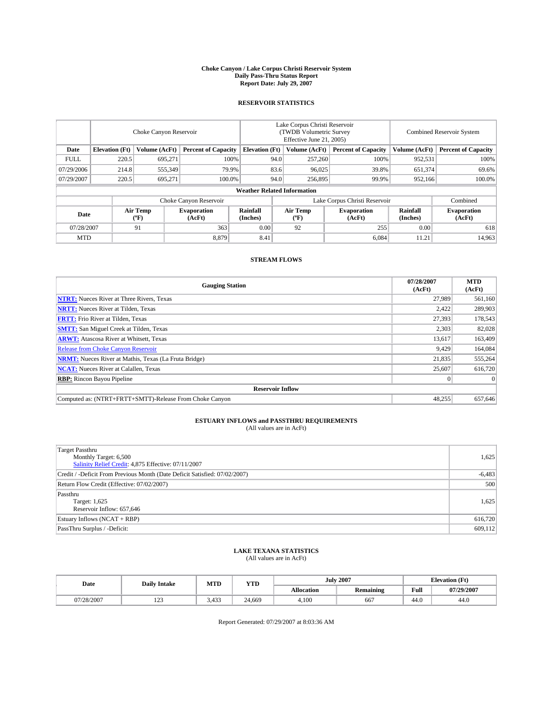#### **Choke Canyon / Lake Corpus Christi Reservoir System Daily Pass-Thru Status Report Report Date: July 29, 2007**

### **RESERVOIR STATISTICS**

|             | Choke Canyon Reservoir             |                         |                              |                       | Lake Corpus Christi Reservoir<br>(TWDB Volumetric Survey<br>Effective June 21, 2005) |                  |                              | Combined Reservoir System |                              |  |
|-------------|------------------------------------|-------------------------|------------------------------|-----------------------|--------------------------------------------------------------------------------------|------------------|------------------------------|---------------------------|------------------------------|--|
| Date        | <b>Elevation</b> (Ft)              | Volume (AcFt)           | <b>Percent of Capacity</b>   | <b>Elevation</b> (Ft) |                                                                                      | Volume (AcFt)    | <b>Percent of Capacity</b>   | Volume (AcFt)             | <b>Percent of Capacity</b>   |  |
| <b>FULL</b> | 220.5                              | 695.271                 |                              | 100%                  | 94.0                                                                                 | 257,260          | 100%                         | 952,531                   | 100%                         |  |
| 07/29/2006  | 214.8                              | 555,349                 | 79.9%                        |                       | 83.6                                                                                 | 96,025           | 39.8%                        | 651,374                   | 69.6%                        |  |
| 07/29/2007  | 220.5                              | 695,271                 | 100.0%                       |                       | 94.0                                                                                 | 256,895          | 99.9%                        | 952,166                   | 100.0%                       |  |
|             | <b>Weather Related Information</b> |                         |                              |                       |                                                                                      |                  |                              |                           |                              |  |
|             |                                    |                         | Choke Canyon Reservoir       |                       | Lake Corpus Christi Reservoir                                                        |                  |                              |                           | Combined                     |  |
| Date        |                                    | <b>Air Temp</b><br>(°F) | <b>Evaporation</b><br>(AcFt) | Rainfall<br>(Inches)  |                                                                                      | Air Temp<br>("F) | <b>Evaporation</b><br>(AcFt) | Rainfall<br>(Inches)      | <b>Evaporation</b><br>(AcFt) |  |
| 07/28/2007  |                                    | 91                      | 363                          | 0.00                  |                                                                                      | 92               | 255                          | 0.00                      | 618                          |  |
| <b>MTD</b>  |                                    |                         | 8,879                        | 8.41                  |                                                                                      |                  | 6,084                        | 11.21                     | 14,963                       |  |

## **STREAM FLOWS**

| <b>Gauging Station</b>                                       | 07/28/2007<br>(AcFt) | <b>MTD</b><br>(AcFt) |
|--------------------------------------------------------------|----------------------|----------------------|
| <b>NTRT:</b> Nueces River at Three Rivers, Texas             | 27.989               | 561,160              |
| <b>NRTT:</b> Nueces River at Tilden, Texas                   | 2.422                | 289,903              |
| <b>FRTT:</b> Frio River at Tilden, Texas                     | 27,393               | 178,543              |
| <b>SMTT:</b> San Miguel Creek at Tilden, Texas               | 2,303                | 82,028               |
| <b>ARWT:</b> Atascosa River at Whitsett, Texas               | 13,617               | 163,409              |
| <b>Release from Choke Canyon Reservoir</b>                   | 9,429                | 164,084              |
| <b>NRMT:</b> Nueces River at Mathis, Texas (La Fruta Bridge) | 21.835               | 555,264              |
| <b>NCAT:</b> Nueces River at Calallen, Texas                 | 25,607               | 616,720              |
| <b>RBP:</b> Rincon Bayou Pipeline                            | $\mathbf{0}$         | $\Omega$             |
| <b>Reservoir Inflow</b>                                      |                      |                      |
| Computed as: (NTRT+FRTT+SMTT)-Release From Choke Canyon      | 48.255               | 657,646              |

# **ESTUARY INFLOWS and PASSTHRU REQUIREMENTS**<br>(All values are in AcFt)

| <b>Target Passthru</b><br>Monthly Target: 6,500<br>Salinity Relief Credit: 4,875 Effective: 07/11/2007 | 1,625    |
|--------------------------------------------------------------------------------------------------------|----------|
| Credit / -Deficit From Previous Month (Date Deficit Satisfied: 07/02/2007)                             | $-6,483$ |
| Return Flow Credit (Effective: 07/02/2007)                                                             | 500      |
| Passthru<br>Target: 1,625<br>Reservoir Inflow: 657,646                                                 | 1,625    |
| Estuary Inflows (NCAT + RBP)                                                                           | 616,720  |
| PassThru Surplus / -Deficit:                                                                           | 609,112  |

## **LAKE TEXANA STATISTICS** (All values are in AcFt)

| Date       | <b>Daily Intake</b>       | MTD                        | <b>YTD</b> |                   | <b>July 2007</b> | <b>Elevation</b> (Ft) |            |
|------------|---------------------------|----------------------------|------------|-------------------|------------------|-----------------------|------------|
|            |                           |                            |            | <b>Allocation</b> | <b>Remaining</b> | Full                  | 07/29/2007 |
| 07/28/2007 | 10 <sup>o</sup><br>ب سے ج | $.43^\circ$<br>л.<br>J.HJJ | 24.669     | 4.100             | 667              | 44.0                  | 44.0       |

Report Generated: 07/29/2007 at 8:03:36 AM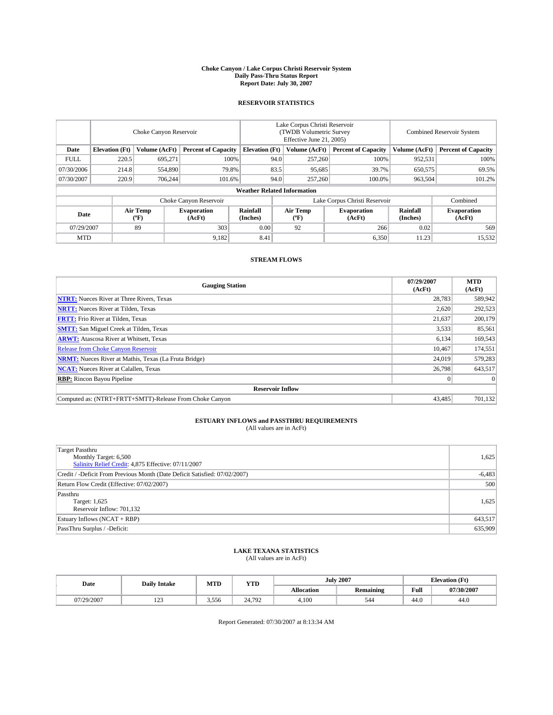#### **Choke Canyon / Lake Corpus Christi Reservoir System Daily Pass-Thru Status Report Report Date: July 30, 2007**

### **RESERVOIR STATISTICS**

|             | Choke Canyon Reservoir             |                  |                              |                       | Lake Corpus Christi Reservoir<br>(TWDB Volumetric Survey<br>Effective June 21, 2005) |                  |                              |                      | Combined Reservoir System    |  |  |
|-------------|------------------------------------|------------------|------------------------------|-----------------------|--------------------------------------------------------------------------------------|------------------|------------------------------|----------------------|------------------------------|--|--|
| Date        | <b>Elevation</b> (Ft)              | Volume (AcFt)    | <b>Percent of Capacity</b>   | <b>Elevation</b> (Ft) |                                                                                      | Volume (AcFt)    | <b>Percent of Capacity</b>   | Volume (AcFt)        | <b>Percent of Capacity</b>   |  |  |
| <b>FULL</b> | 220.5                              | 695,271          | 100%                         |                       | 94.0                                                                                 | 257,260          | 100%                         | 952,531              | 100%                         |  |  |
| 07/30/2006  | 214.8                              | 554,890          | 79.8%                        |                       | 83.5                                                                                 | 95,685           | 39.7%                        | 650,575              | 69.5%                        |  |  |
| 07/30/2007  | 220.9                              | 706.244          | 101.6%                       |                       | 94.0                                                                                 | 257,260          | 100.0%                       | 963,504              | 101.2%                       |  |  |
|             | <b>Weather Related Information</b> |                  |                              |                       |                                                                                      |                  |                              |                      |                              |  |  |
|             |                                    |                  | Choke Canyon Reservoir       |                       | Lake Corpus Christi Reservoir                                                        |                  |                              |                      | Combined                     |  |  |
| Date        |                                    | Air Temp<br>(°F) | <b>Evaporation</b><br>(AcFt) | Rainfall<br>(Inches)  |                                                                                      | Air Temp<br>("F) | <b>Evaporation</b><br>(AcFt) | Rainfall<br>(Inches) | <b>Evaporation</b><br>(AcFt) |  |  |
| 07/29/2007  |                                    | 89               | 303                          | 0.00                  |                                                                                      | 92               | 266                          | 0.02                 | 569                          |  |  |
| <b>MTD</b>  |                                    |                  | 9,182                        | 8.41                  |                                                                                      |                  | 6,350                        | 11.23                | 15,532                       |  |  |

## **STREAM FLOWS**

| <b>Gauging Station</b>                                       | 07/29/2007<br>(AcFt) | <b>MTD</b><br>(AcFt) |
|--------------------------------------------------------------|----------------------|----------------------|
| <b>NTRT:</b> Nueces River at Three Rivers, Texas             | 28.783               | 589,942              |
| <b>NRTT:</b> Nueces River at Tilden, Texas                   | 2.620                | 292,523              |
| <b>FRTT:</b> Frio River at Tilden, Texas                     | 21,637               | 200,179              |
| <b>SMTT:</b> San Miguel Creek at Tilden, Texas               | 3,533                | 85,561               |
| <b>ARWT:</b> Atascosa River at Whitsett, Texas               | 6,134                | 169,543              |
| <b>Release from Choke Canyon Reservoir</b>                   | 10.467               | 174,551              |
| <b>NRMT:</b> Nueces River at Mathis, Texas (La Fruta Bridge) | 24.019               | 579,283              |
| <b>NCAT:</b> Nueces River at Calallen, Texas                 | 26,798               | 643,517              |
| <b>RBP:</b> Rincon Bayou Pipeline                            | $\mathbf{0}$         | $\Omega$             |
| <b>Reservoir Inflow</b>                                      |                      |                      |
| Computed as: (NTRT+FRTT+SMTT)-Release From Choke Canyon      | 43.485               | 701.132              |

# **ESTUARY INFLOWS and PASSTHRU REQUIREMENTS**<br>(All values are in AcFt)

| <b>Target Passthru</b><br>Monthly Target: 6,500<br>Salinity Relief Credit: 4,875 Effective: 07/11/2007 | 1,625    |
|--------------------------------------------------------------------------------------------------------|----------|
| Credit / -Deficit From Previous Month (Date Deficit Satisfied: 07/02/2007)                             | $-6,483$ |
| Return Flow Credit (Effective: 07/02/2007)                                                             | 500      |
| Passthru<br>Target: 1,625<br>Reservoir Inflow: 701,132                                                 | 1,625    |
| Estuary Inflows (NCAT + RBP)                                                                           | 643,517  |
| PassThru Surplus / -Deficit:                                                                           | 635,909  |

## **LAKE TEXANA STATISTICS** (All values are in AcFt)

| Date       | <b>Daily Intake</b> | MTD   | <b>YTD</b> |                   | <b>July 2007</b> | <b>Elevation</b> (Ft) |            |
|------------|---------------------|-------|------------|-------------------|------------------|-----------------------|------------|
|            |                     |       |            | <b>Allocation</b> | <b>Remaining</b> | Full                  | 07/30/2007 |
| 07/29/2007 | 122<br>ل کے 1       | 3,556 | 24.792     | 4.100             | 544              | 44.0                  | 44.0       |

Report Generated: 07/30/2007 at 8:13:34 AM